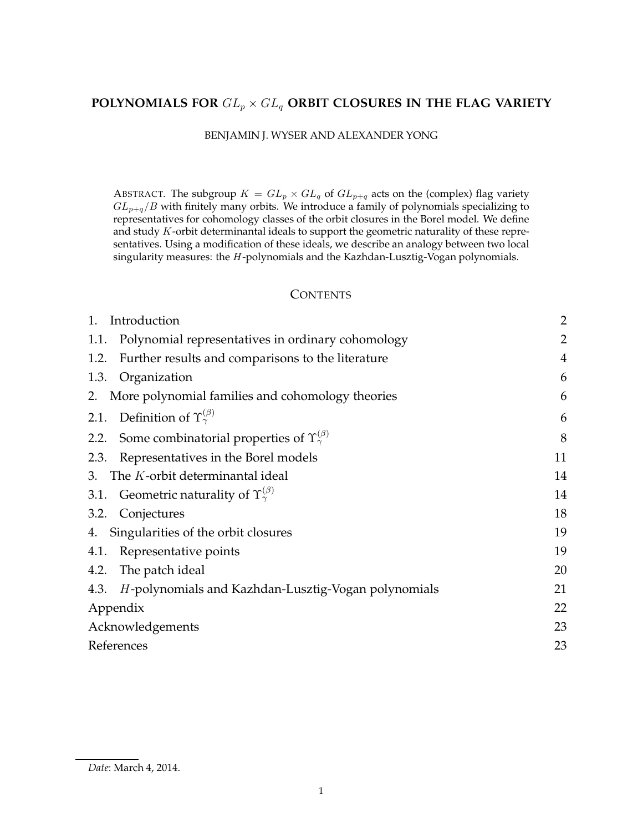# POLYNOMIALS FOR  $GL_p \times GL_q$  ORBIT CLOSURES IN THE FLAG VARIETY

# BENJAMIN J. WYSER AND ALEXANDER YONG

ABSTRACT. The subgroup  $K = GL_p \times GL_q$  of  $GL_{p+q}$  acts on the (complex) flag variety  $GL_{p+q}/B$  with finitely many orbits. We introduce a family of polynomials specializing to representatives for cohomology classes of the orbit closures in the Borel model. We define and study K-orbit determinantal ideals to support the geometric naturality of these representatives. Using a modification of these ideals, we describe an analogy between two local singularity measures: the H-polynomials and the Kazhdan-Lusztig-Vogan polynomials.

## **CONTENTS**

| 1.<br>Introduction                                                     | 2              |  |
|------------------------------------------------------------------------|----------------|--|
| Polynomial representatives in ordinary cohomology<br>1.1.              | $\overline{2}$ |  |
| Further results and comparisons to the literature<br>1.2.              | $\overline{4}$ |  |
| Organization<br>1.3.                                                   | 6              |  |
| 2. More polynomial families and cohomology theories                    | 6              |  |
| 2.1. Definition of $\Upsilon_{\gamma}^{(\beta)}$                       | 6              |  |
| Some combinatorial properties of $\Upsilon_{\gamma}^{(\beta)}$<br>2.2. | 8              |  |
| Representatives in the Borel models<br>2.3.                            | 11             |  |
| The K-orbit determinantal ideal<br>3.                                  | 14             |  |
| 3.1. Geometric naturality of $\Upsilon_{\gamma}^{(\beta)}$             | 14             |  |
| 3.2. Conjectures                                                       | 18             |  |
| 4. Singularities of the orbit closures                                 | 19             |  |
| Representative points<br>4.1.                                          | 19             |  |
| The patch ideal<br>4.2.                                                | 20             |  |
| H-polynomials and Kazhdan-Lusztig-Vogan polynomials<br>4.3.            | 21             |  |
| Appendix                                                               | 22             |  |
| Acknowledgements                                                       |                |  |
| References                                                             |                |  |

*Date*: March 4, 2014.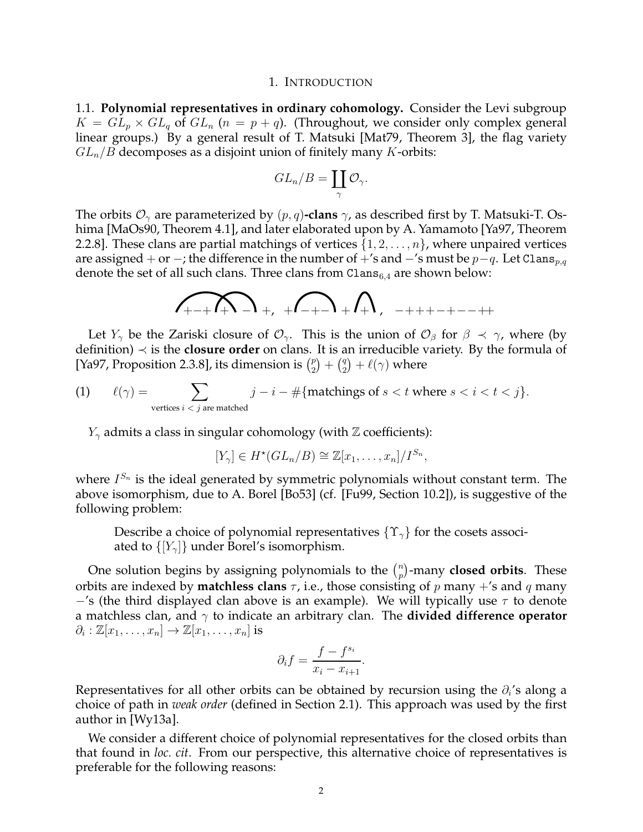#### 1. INTRODUCTION

1.1. **Polynomial representatives in ordinary cohomology.** Consider the Levi subgroup  $K = GL_p \times GL_q$  of  $GL_n$   $(n = p + q)$ . (Throughout, we consider only complex general linear groups.) By a general result of T. Matsuki [Mat79, Theorem 3], the flag variety  $GL_n/B$  decomposes as a disjoint union of finitely many K-orbits:

$$
GL_n/B=\coprod_{\gamma}\mathcal{O}_{\gamma}.
$$

The orbits  $\mathcal{O}_{\gamma}$  are parameterized by  $(p, q)$ **-clans**  $\gamma$ , as described first by T. Matsuki-T. Oshima [MaOs90, Theorem 4.1], and later elaborated upon by A. Yamamoto [Ya97, Theorem 2.2.8]. These clans are partial matchings of vertices  $\{1, 2, \ldots, n\}$ , where unpaired vertices are assigned + or −; the difference in the number of +'s and  $-$ 's must be  $p-q$ . Let Clans<sub>p,q</sub> denote the set of all such clans. Three clans from  $\text{Clans}_{6,4}$  are shown below:

$$
\sqrt{1+2\pi n^2+1}+\sqrt{1+2\pi n^2+1}+\sqrt{1+1}+\sqrt{1+1}+\sqrt{1+1}+\sqrt{1+1}+\sqrt{1+1}+\sqrt{1+1}+\sqrt{1+1}+\sqrt{1+1}+\sqrt{1+1}+\sqrt{1+1}+\sqrt{1+1}+\sqrt{1+1}+\sqrt{1+1}+\sqrt{1+1}+\sqrt{1+1}+\sqrt{1+1}+\sqrt{1+1}+\sqrt{1+1}+\sqrt{1+1}+\sqrt{1+1}+\sqrt{1+1}+\sqrt{1+1}+\sqrt{1+1}+\sqrt{1+1}+\sqrt{1+1}+\sqrt{1+1}+\sqrt{1+1}+\sqrt{1+1}+\sqrt{1+1}+\sqrt{1+1}+\sqrt{1+1}+\sqrt{1+1}+\sqrt{1+1}+\sqrt{1+1}+\sqrt{1+1}+\sqrt{1+1}+\sqrt{1+1}+\sqrt{1+1}+\sqrt{1+1}+\sqrt{1+1}+\sqrt{1+1}+\sqrt{1+1}+\sqrt{1+1}+\sqrt{1+1}+\sqrt{1+1}+\sqrt{1+1}+\sqrt{1+1}+\sqrt{1+1}+\sqrt{1+1}+\sqrt{1+1}+\sqrt{1+1}+\sqrt{1+1}+\sqrt{1+1}+\sqrt{1+1}+\sqrt{1+1}+\sqrt{1+1}+\sqrt{1+1}+\sqrt{1+1}+\sqrt{1+1}+\sqrt{1+1}+\sqrt{1+1}+\sqrt{1+1}+\sqrt{1+1}+\sqrt{1+1}+\sqrt{1+1}+\sqrt{1+1}+\sqrt{1+1}+\sqrt{1+1}+\sqrt{1+1}+\sqrt{1+1}+\sqrt{1+1}+\sqrt{1+1}+\sqrt{1+1}+\sqrt{1+1}+\sqrt{1+1}+\sqrt{1+1}+\sqrt{1+1}+\sqrt{1+1}+\sqrt{1+1}+\sqrt{1+1}+\sqrt{1+1}+\sqrt{1+1}+\sqrt{1+1}+\sqrt{1+1}+\sqrt{1+1}+\sqrt{1+1}+\sqrt{1+1}+\sqrt{1+1}+\sqrt{1+1}+\sqrt{1+1}+\sqrt{1+1}+\sqrt{1+1}+\sqrt{1+1}+\sqrt{1+1}+\sqrt{1+1}+\sqrt{1+1}+\sqrt{1+1}+\sqrt{1+1}+\sqrt{1+1}+\sqrt{1+1}+\sqrt{1+1}+\sqrt{1+1}+\sqrt{1+1}+\sqrt{1+1}+\sqrt{1
$$

Let  $Y_\gamma$  be the Zariski closure of  $\mathcal{O}_\gamma$ . This is the union of  $\mathcal{O}_\beta$  for  $\beta \prec \gamma$ , where (by definition) ≺ is the **closure order** on clans. It is an irreducible variety. By the formula of [Ya97, Proposition 2.3.8], its dimension is  $\binom{p}{2}$  $\binom{p}{2} + \binom{q}{2}$  $\binom{q}{2} + \ell(\gamma)$  where

(1) 
$$
\ell(\gamma) = \sum_{\text{vertices } i < j \text{ are matched}} j - i - \#\{\text{ matchings of } s < t \text{ where } s < i < t < j\}.
$$

 $Y_{\gamma}$  admits a class in singular cohomology (with  $\mathbb Z$  coefficients):

$$
[Y_{\gamma}] \in H^*(GL_n/B) \cong \mathbb{Z}[x_1,\ldots,x_n]/I^{S_n},
$$

where  $I^{S_n}$  is the ideal generated by symmetric polynomials without constant term. The above isomorphism, due to A. Borel [Bo53] (cf. [Fu99, Section 10.2]), is suggestive of the following problem:

Describe a choice of polynomial representatives  $\{\Upsilon_{\gamma}\}\$  for the cosets associated to  $\{[Y_{\gamma}]\}\$  under Borel's isomorphism.

One solution begins by assigning polynomials to the  $\binom{n}{n}$ p -many **closed orbits**. These orbits are indexed by **matchless clans**  $\tau$ , i.e., those consisting of p many +'s and q many  $-$ 's (the third displayed clan above is an example). We will typically use  $\tau$  to denote a matchless clan, and  $\gamma$  to indicate an arbitrary clan. The **divided difference operator**  $\partial_i : \mathbb{Z}[x_1,\ldots,x_n] \to \mathbb{Z}[x_1,\ldots,x_n]$  is

$$
\partial_i f = \frac{f - f^{s_i}}{x_i - x_{i+1}}.
$$

Representatives for all other orbits can be obtained by recursion using the  $\partial_i$ 's along a choice of path in *weak order* (defined in Section 2.1). This approach was used by the first author in [Wy13a].

We consider a different choice of polynomial representatives for the closed orbits than that found in *loc. cit*. From our perspective, this alternative choice of representatives is preferable for the following reasons: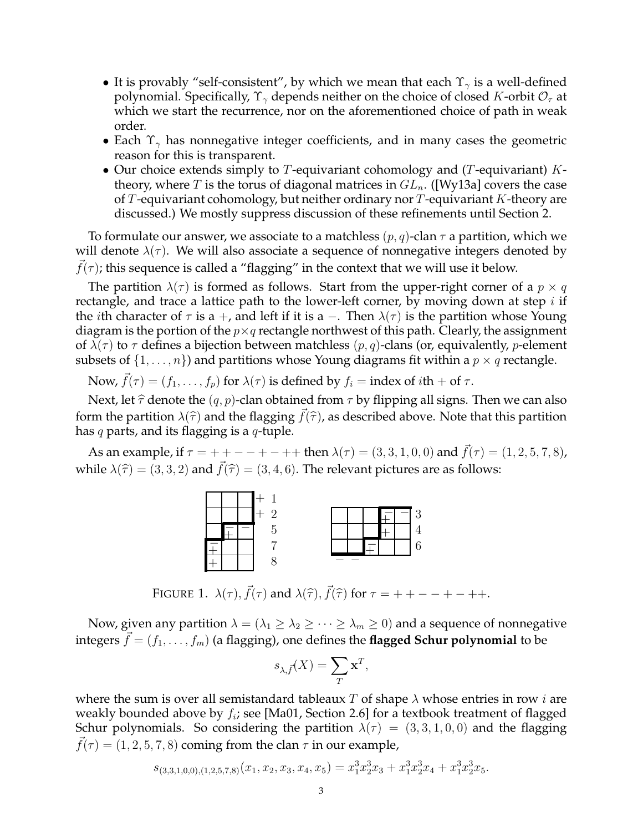- It is provably "self-consistent", by which we mean that each  $\Upsilon_{\gamma}$  is a well-defined polynomial. Specifically,  $\Upsilon_{\gamma}$  depends neither on the choice of closed K-orbit  $\mathcal{O}_{\tau}$  at which we start the recurrence, nor on the aforementioned choice of path in weak order.
- Each  $\Upsilon_{\gamma}$  has nonnegative integer coefficients, and in many cases the geometric reason for this is transparent.
- Our choice extends simply to  $T$ -equivariant cohomology and ( $T$ -equivariant)  $K$ theory, where T is the torus of diagonal matrices in  $GL_n$ . ([Wy13a] covers the case of T-equivariant cohomology, but neither ordinary nor  $T$ -equivariant  $K$ -theory are discussed.) We mostly suppress discussion of these refinements until Section 2.

To formulate our answer, we associate to a matchless  $(p, q)$ -clan  $\tau$  a partition, which we will denote  $\lambda(\tau)$ . We will also associate a sequence of nonnegative integers denoted by  $f(\tau)$ ; this sequence is called a "flagging" in the context that we will use it below.

The partition  $\lambda(\tau)$  is formed as follows. Start from the upper-right corner of a  $p \times q$ rectangle, and trace a lattice path to the lower-left corner, by moving down at step  $i$  if the *i*th character of  $\tau$  is a +, and left if it is a -. Then  $\lambda(\tau)$  is the partition whose Young diagram is the portion of the  $p \times q$  rectangle northwest of this path. Clearly, the assignment of  $\lambda(\tau)$  to  $\tau$  defines a bijection between matchless  $(p, q)$ -clans (or, equivalently, *p*-element subsets of  $\{1, \ldots, n\}$  and partitions whose Young diagrams fit within a  $p \times q$  rectangle.

Now,  $f(\tau) = (f_1, \ldots, f_p)$  for  $\lambda(\tau)$  is defined by  $f_i = \text{index of } i\text{th} + \text{of } \tau$ .

Next, let  $\hat{\tau}$  denote the  $(q, p)$ -clan obtained from  $\tau$  by flipping all signs. Then we can also form the partition  $\lambda(\hat{\tau})$  and the flagging  $\vec{f}(\hat{\tau})$ , as described above. Note that this partition has  $q$  parts, and its flagging is a  $q$ -tuple.

As an example, if  $\tau = + + - - + - +$  then  $\lambda(\tau) = (3, 3, 1, 0, 0)$  and  $\vec{f}(\tau) = (1, 2, 5, 7, 8)$ , while  $\lambda(\hat{\tau}) = (3, 3, 2)$  and  $f(\hat{\tau}) = (3, 4, 6)$ . The relevant pictures are as follows:



FIGURE 1.  $\lambda(\tau)$ ,  $\vec{f}(\tau)$  and  $\lambda(\hat{\tau})$ ,  $\vec{f}(\hat{\tau})$  for  $\tau = + + - - + - + +$ .

Now, given any partition  $\lambda = (\lambda_1 \geq \lambda_2 \geq \cdots \geq \lambda_m \geq 0)$  and a sequence of nonnegative integers  $\vec{f} = (f_1, \ldots, f_m)$  (a flagging), one defines the **flagged Schur polynomial** to be

$$
s_{\lambda,\vec{f}}(X) = \sum_{T} \mathbf{x}^{T},
$$

where the sum is over all semistandard tableaux T of shape  $\lambda$  whose entries in row *i* are weakly bounded above by  $f_i$ ; see [Ma01, Section 2.6] for a textbook treatment of flagged Schur polynomials. So considering the partition  $\lambda(\tau) = (3, 3, 1, 0, 0)$  and the flagging  $f(\tau) = (1, 2, 5, 7, 8)$  coming from the clan  $\tau$  in our example,

$$
s_{(3,3,1,0,0),(1,2,5,7,8)}(x_1, x_2, x_3, x_4, x_5) = x_1^3 x_2^3 x_3 + x_1^3 x_2^3 x_4 + x_1^3 x_2^3 x_5.
$$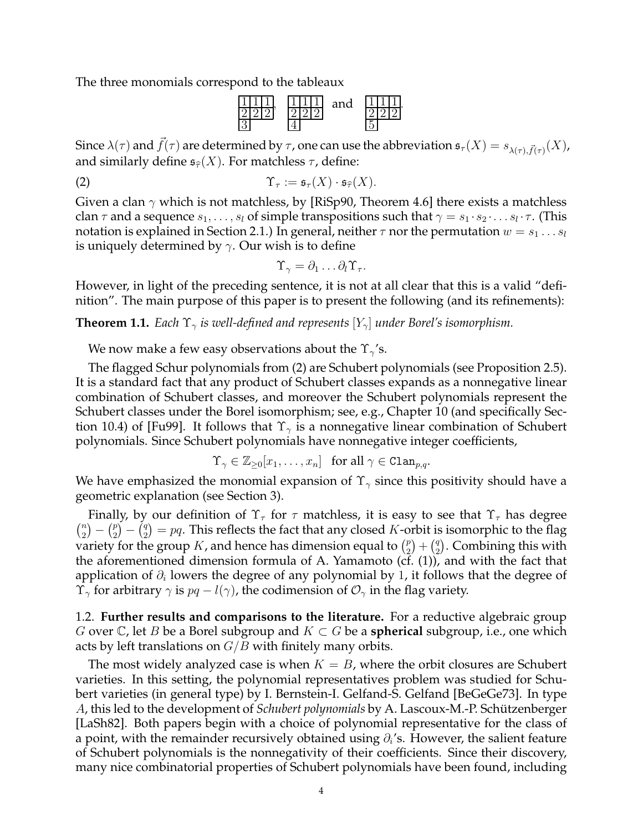The three monomials correspond to the tableaux



Since  $\lambda(\tau)$  and  $\vec{f}(\tau)$  are determined by  $\tau$ , one can use the abbreviation  $\mathfrak{s}_{\tau}(X) = s_{\lambda(\tau),\vec{f}(\tau)}(X)$ , and similarly define  $\mathfrak{s}_{\widehat{\tau}}(X)$ . For matchless  $\tau$ , define:

(2) 
$$
\Upsilon_{\tau} := \mathfrak{s}_{\tau}(X) \cdot \mathfrak{s}_{\widehat{\tau}}(X).
$$

Given a clan  $\gamma$  which is not matchless, by [RiSp90, Theorem 4.6] there exists a matchless clan  $\tau$  and a sequence  $s_1, \ldots, s_l$  of simple transpositions such that  $\gamma = s_1 \cdot s_2 \cdot \ldots s_l \cdot \tau$ . (This notation is explained in Section 2.1.) In general, neither  $\tau$  nor the permutation  $w = s_1 \dots s_l$ is uniquely determined by  $\gamma$ . Our wish is to define

$$
\Upsilon_{\gamma} = \partial_1 \ldots \partial_l \Upsilon_{\tau}.
$$

However, in light of the preceding sentence, it is not at all clear that this is a valid "definition". The main purpose of this paper is to present the following (and its refinements):

**Theorem 1.1.** *Each*  $\Upsilon_{\gamma}$  *is well-defined and represents*  $[Y_{\gamma}]$  *under Borel's isomorphism.* 

We now make a few easy observations about the  $\Upsilon_{\gamma}$ 's.

The flagged Schur polynomials from (2) are Schubert polynomials (see Proposition 2.5). It is a standard fact that any product of Schubert classes expands as a nonnegative linear combination of Schubert classes, and moreover the Schubert polynomials represent the Schubert classes under the Borel isomorphism; see, e.g., Chapter 10 (and specifically Section 10.4) of [Fu99]. It follows that  $\Upsilon_{\gamma}$  is a nonnegative linear combination of Schubert polynomials. Since Schubert polynomials have nonnegative integer coefficients,

$$
\Upsilon_{\gamma} \in \mathbb{Z}_{\geq 0}[x_1, \dots, x_n] \quad \text{for all } \gamma \in \text{Clan}_{p,q}.
$$

We have emphasized the monomial expansion of  $\Upsilon_{\gamma}$  since this positivity should have a geometric explanation (see Section 3).

Finally, by our definition of  $\Upsilon_{\tau}$  for  $\tau$  matchless, it is easy to see that  $\Upsilon_{\tau}$  has degree  $\binom{n}{2}$  $\binom{n}{2} - \binom{p}{2}$  $\binom{p}{2} - \binom{q}{2}$  $\binom{q}{2} = pq$ . This reflects the fact that any closed K-orbit is isomorphic to the flag variety for the group K, and hence has dimension equal to  $\binom{p}{2}$  $\binom{p}{2} + \binom{q}{2}$  $\binom{q}{2}$ . Combining this with the aforementioned dimension formula of A. Yamamoto (cf. (1)), and with the fact that application of  $\partial_i$  lowers the degree of any polynomial by 1, it follows that the degree of  $\Upsilon_{\gamma}$  for arbitrary  $\gamma$  is  $pq - l(\gamma)$ , the codimension of  $\mathcal{O}_{\gamma}$  in the flag variety.

1.2. **Further results and comparisons to the literature.** For a reductive algebraic group *G* over C, let *B* be a Borel subgroup and  $K \subset G$  be a **spherical** subgroup, i.e., one which acts by left translations on  $G/B$  with finitely many orbits.

The most widely analyzed case is when  $K = B$ , where the orbit closures are Schubert varieties. In this setting, the polynomial representatives problem was studied for Schubert varieties (in general type) by I. Bernstein-I. Gelfand-S. Gelfand [BeGeGe73]. In type A, this led to the development of *Schubert polynomials* by A. Lascoux-M.-P. Schützenberger [LaSh82]. Both papers begin with a choice of polynomial representative for the class of a point, with the remainder recursively obtained using  $\partial_i$ 's. However, the salient feature of Schubert polynomials is the nonnegativity of their coefficients. Since their discovery, many nice combinatorial properties of Schubert polynomials have been found, including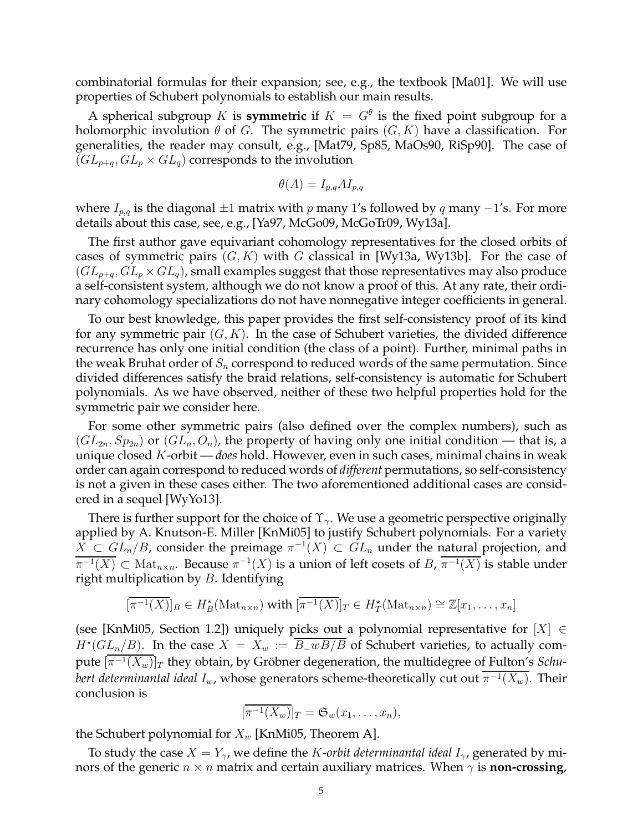combinatorial formulas for their expansion; see, e.g., the textbook [Ma01]. We will use properties of Schubert polynomials to establish our main results.

A spherical subgroup K is **symmetric** if  $K = G^{\theta}$  is the fixed point subgroup for a holomorphic involution  $\theta$  of G. The symmetric pairs  $(G, K)$  have a classification. For generalities, the reader may consult, e.g., [Mat79, Sp85, MaOs90, RiSp90]. The case of  $(GL_{p+q}, GL_p \times GL_q)$  corresponds to the involution

$$
\theta(A) = I_{p,q} A I_{p,q}
$$

where  $I_{p,q}$  is the diagonal  $\pm 1$  matrix with p many 1's followed by q many  $-1$ 's. For more details about this case, see, e.g., [Ya97, McGo09, McGoTr09, Wy13a].

The first author gave equivariant cohomology representatives for the closed orbits of cases of symmetric pairs  $(G, K)$  with G classical in [Wy13a, Wy13b]. For the case of  $(GL_{p+q}, GL_p \times GL_q)$ , small examples suggest that those representatives may also produce a self-consistent system, although we do not know a proof of this. At any rate, their ordinary cohomology specializations do not have nonnegative integer coefficients in general.

To our best knowledge, this paper provides the first self-consistency proof of its kind for any symmetric pair  $(G, K)$ . In the case of Schubert varieties, the divided difference recurrence has only one initial condition (the class of a point). Further, minimal paths in the weak Bruhat order of  $S_n$  correspond to reduced words of the same permutation. Since divided differences satisfy the braid relations, self-consistency is automatic for Schubert polynomials. As we have observed, neither of these two helpful properties hold for the symmetric pair we consider here.

For some other symmetric pairs (also defined over the complex numbers), such as  $(GL_{2n}, Sp_{2n})$  or  $(GL_n, O_n)$ , the property of having only one initial condition — that is, a unique closed K-orbit — *does* hold. However, even in such cases, minimal chains in weak order can again correspond to reduced words of *different* permutations, so self-consistency is not a given in these cases either. The two aforementioned additional cases are considered in a sequel [WyYo13].

There is further support for the choice of  $\Upsilon_{\gamma}$ . We use a geometric perspective originally applied by A. Knutson-E. Miller [KnMi05] to justify Schubert polynomials. For a variety  $\overline{X} \subset GL_n/B$ , consider the preimage  $\pi^{-1}(X) \subset GL_n$  under the natural projection, and  $\overline{\pi^{-1}(X)}\subset\mathrm{Mat}_{n\times n}$ . Because  $\pi^{-1}(X)$  is a union of left cosets of  $B$ ,  $\overline{\pi^{-1}(X)}$  is stable under right multiplication by  $B$ . Identifying

$$
[\overline{\pi^{-1}(X)}]_B \in H_B^{\star}(\mathrm{Mat}_{n \times n}) \text{ with } [\overline{\pi^{-1}(X)}]_T \in H_T^{\star}(\mathrm{Mat}_{n \times n}) \cong \mathbb{Z}[x_1, \ldots, x_n]
$$

(see [KnMi05, Section 1.2]) uniquely picks out a polynomial representative for  $[X] \in$  $H^*(GL_n/B)$ . In the case  $X = X_w := \overline{B_{-}wB/B}$  of Schubert varieties, to actually compute  $[\pi^{-1}(X_w)]_T$  they obtain*,* by Gröbner degeneration, the multidegree of Fulton's Schu $b$ ert determinantal ideal  $I_w$ , whose generators scheme-theoretically cut out  $\pi^{-1}(X_w).$  Their conclusion is

$$
[\overline{\pi^{-1}(X_w)}]_T = \mathfrak{S}_w(x_1,\ldots,x_n),
$$

the Schubert polynomial for  $X_w$  [KnMi05, Theorem A].

To study the case  $X = Y_{\gamma}$ , we define the *K*-*orbit determinantal ideal*  $I_{\gamma}$ , generated by minors of the generic  $n \times n$  matrix and certain auxiliary matrices. When  $\gamma$  is **non-crossing**,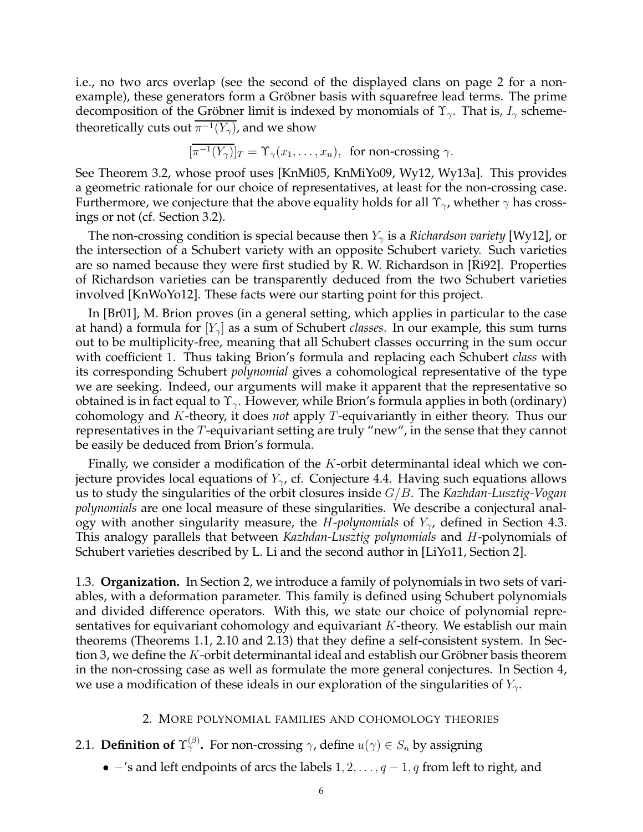i.e., no two arcs overlap (see the second of the displayed clans on page 2 for a nonexample), these generators form a Gröbner basis with squarefree lead terms. The prime decomposition of the Gröbner limit is indexed by monomials of  $\Upsilon_{\gamma}$ . That is,  $I_{\gamma}$  schemetheoretically cuts out  $\pi^{-1}(Y_\gamma)$ , and we show

$$
[\overline{\pi^{-1}(Y_{\gamma})}]_T = \Upsilon_{\gamma}(x_1, \dots, x_n), \text{ for non-crossing } \gamma.
$$

See Theorem 3.2, whose proof uses [KnMi05, KnMiYo09, Wy12, Wy13a]. This provides a geometric rationale for our choice of representatives, at least for the non-crossing case. Furthermore, we conjecture that the above equality holds for all  $\Upsilon_{\gamma}$ , whether  $\gamma$  has crossings or not (cf. Section 3.2).

The non-crossing condition is special because then  $Y_{\gamma}$  is a *Richardson variety* [Wy12], or the intersection of a Schubert variety with an opposite Schubert variety. Such varieties are so named because they were first studied by R. W. Richardson in [Ri92]. Properties of Richardson varieties can be transparently deduced from the two Schubert varieties involved [KnWoYo12]. These facts were our starting point for this project.

In [Br01], M. Brion proves (in a general setting, which applies in particular to the case at hand) a formula for  $|Y_{\gamma}|$  as a sum of Schubert *classes*. In our example, this sum turns out to be multiplicity-free, meaning that all Schubert classes occurring in the sum occur with coefficient 1. Thus taking Brion's formula and replacing each Schubert *class* with its corresponding Schubert *polynomial* gives a cohomological representative of the type we are seeking. Indeed, our arguments will make it apparent that the representative so obtained is in fact equal to  $\Upsilon_{\gamma}$ . However, while Brion's formula applies in both (ordinary) cohomology and K-theory, it does *not* apply T-equivariantly in either theory. Thus our representatives in the T-equivariant setting are truly "new", in the sense that they cannot be easily be deduced from Brion's formula.

Finally, we consider a modification of the  $K$ -orbit determinantal ideal which we conjecture provides local equations of  $Y_{\gamma}$ , cf. Conjecture 4.4. Having such equations allows us to study the singularities of the orbit closures inside G/B. The *Kazhdan-Lusztig-Vogan polynomials* are one local measure of these singularities. We describe a conjectural analogy with another singularity measure, the *H-polynomials* of *Y*<sub>γ</sub>, defined in Section 4.3. This analogy parallels that between *Kazhdan-Lusztig polynomials* and H-polynomials of Schubert varieties described by L. Li and the second author in [LiYo11, Section 2].

1.3. **Organization.** In Section 2, we introduce a family of polynomials in two sets of variables, with a deformation parameter. This family is defined using Schubert polynomials and divided difference operators. With this, we state our choice of polynomial representatives for equivariant cohomology and equivariant  $K$ -theory. We establish our main theorems (Theorems 1.1, 2.10 and 2.13) that they define a self-consistent system. In Section 3, we define the  $K$ -orbit determinantal ideal and establish our Gröbner basis theorem in the non-crossing case as well as formulate the more general conjectures. In Section 4, we use a modification of these ideals in our exploration of the singularities of  $Y_{\gamma}$ .

# 2. MORE POLYNOMIAL FAMILIES AND COHOMOLOGY THEORIES

- 2.1. **Definition of**  $\Upsilon_\gamma^{(\beta)}$ . For non-crossing  $\gamma$ , define  $u(\gamma) \in S_n$  by assigning
	- $-$ 's and left endpoints of arcs the labels  $1, 2, \ldots, q-1, q$  from left to right, and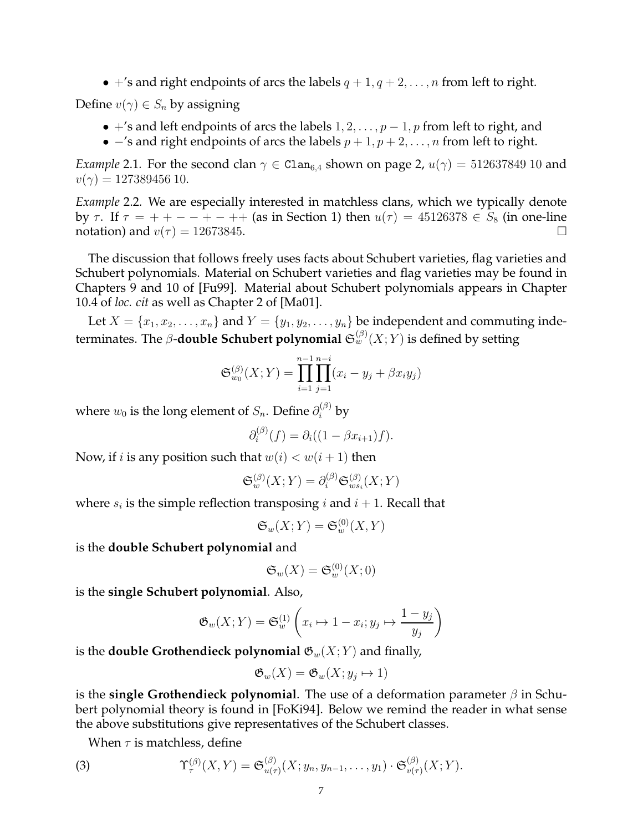•  $+$ 's and right endpoints of arcs the labels  $q + 1, q + 2, \ldots, n$  from left to right.

Define  $v(\gamma) \in S_n$  by assigning

- $+$ 's and left endpoints of arcs the labels  $1, 2, \ldots, p-1, p$  from left to right, and
- $-$ 's and right endpoints of arcs the labels  $p + 1, p + 2, \ldots, n$  from left to right.

*Example* 2.1. For the second clan  $\gamma \in \text{Clan}_{6,4}$  shown on page 2,  $u(\gamma) = 512637849$  10 and  $v(\gamma) = 127389456$  10.

*Example* 2.2*.* We are especially interested in matchless clans, which we typically denote by  $\tau$ . If  $\tau = + - - - + - + +$  (as in Section 1) then  $u(\tau) = 45126378 \in S_8$  (in one-line notation) and  $v(\tau) = 12673845$ .

The discussion that follows freely uses facts about Schubert varieties, flag varieties and Schubert polynomials. Material on Schubert varieties and flag varieties may be found in Chapters 9 and 10 of [Fu99]. Material about Schubert polynomials appears in Chapter 10.4 of *loc. cit* as well as Chapter 2 of [Ma01].

Let  $X = \{x_1, x_2, \ldots, x_n\}$  and  $Y = \{y_1, y_2, \ldots, y_n\}$  be independent and commuting indeterminates. The  $\beta$ **-double Schubert polynomial**  $\mathfrak{S}_w^{(\beta)}(X;Y)$  **is defined by setting** 

$$
\mathfrak{S}_{w_0}^{(\beta)}(X;Y) = \prod_{i=1}^{n-1} \prod_{j=1}^{n-i} (x_i - y_j + \beta x_i y_j)
$$

where  $w_0$  is the long element of  $S_n.$  Define  $\partial_i^{(\beta)}$  by

$$
\partial_i^{(\beta)}(f) = \partial_i((1 - \beta x_{i+1})f).
$$

Now, if *i* is any position such that  $w(i) < w(i + 1)$  then

$$
\mathfrak{S}_w^{(\beta)}(X;Y) = \partial_i^{(\beta)} \mathfrak{S}_{ws_i}^{(\beta)}(X;Y)
$$

where  $s_i$  is the simple reflection transposing  $i$  and  $i+1$ . Recall that

$$
\mathfrak{S}_w(X;Y) = \mathfrak{S}_w^{(0)}(X,Y)
$$

is the **double Schubert polynomial** and

$$
\mathfrak{S}_w(X) = \mathfrak{S}_w^{(0)}(X;0)
$$

is the **single Schubert polynomial**. Also,

$$
\mathfrak{G}_w(X;Y) = \mathfrak{S}_w^{(1)}\left(x_i \mapsto 1 - x_i; y_j \mapsto \frac{1 - y_j}{y_j}\right)
$$

is the **double Grothendieck polynomial**  $\mathfrak{G}_w(X; Y)$  and finally,

$$
\mathfrak{G}_w(X) = \mathfrak{G}_w(X; y_j \mapsto 1)
$$

is the **single Grothendieck polynomial**. The use of a deformation parameter  $\beta$  in Schubert polynomial theory is found in [FoKi94]. Below we remind the reader in what sense the above substitutions give representatives of the Schubert classes.

When  $\tau$  is matchless, define

(3) 
$$
\Upsilon_{\tau}^{(\beta)}(X,Y)=\mathfrak{S}_{u(\tau)}^{(\beta)}(X;y_n,y_{n-1},\ldots,y_1)\cdot\mathfrak{S}_{v(\tau)}^{(\beta)}(X;Y).
$$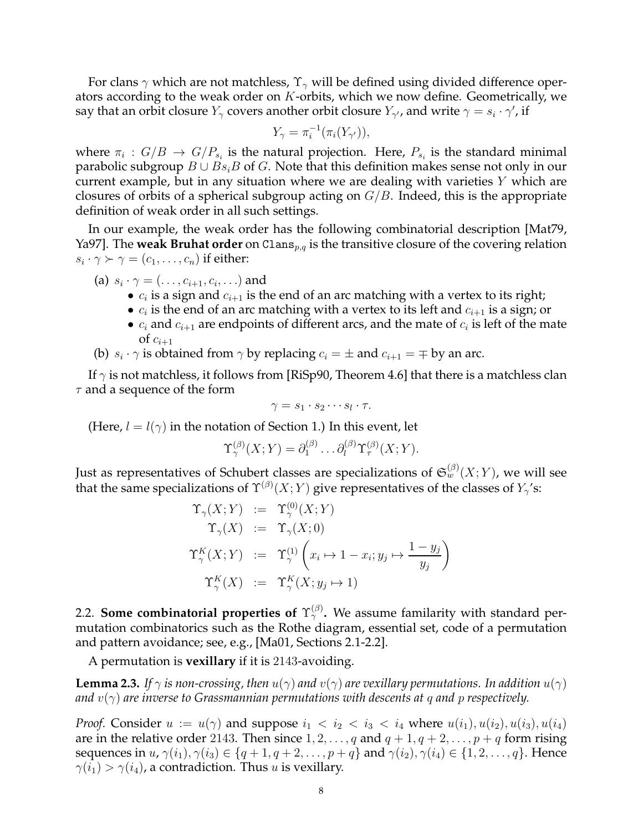For clans  $\gamma$  which are not matchless,  $\Upsilon_{\gamma}$  will be defined using divided difference operators according to the weak order on  $K$ -orbits, which we now define. Geometrically, we say that an orbit closure  $Y_\gamma$  covers another orbit closure  $Y_{\gamma'}$ , and write  $\gamma=s_i\cdot\gamma'$ , if

$$
Y_{\gamma} = \pi_i^{-1}(\pi_i(Y_{\gamma'})),
$$

where  $\pi_i\,:\,G/B\,\rightarrow\,G/P_{s_i}$  is the natural projection. Here,  $P_{s_i}$  is the standard minimal parabolic subgroup  $B \cup Bs_iB$  of G. Note that this definition makes sense not only in our current example, but in any situation where we are dealing with varieties  $Y$  which are closures of orbits of a spherical subgroup acting on  $G/B$ . Indeed, this is the appropriate definition of weak order in all such settings.

In our example, the weak order has the following combinatorial description [Mat79, Ya97]. The **weak Bruhat order** on Clans<sub>p,q</sub> is the transitive closure of the covering relation  $s_i\cdot\gamma \succ \gamma=(c_1,\ldots,c_n)$  if either:

- (a)  $s_i \cdot \gamma = (\ldots, c_{i+1}, c_i, \ldots)$  and
	- $c_i$  is a sign and  $c_{i+1}$  is the end of an arc matching with a vertex to its right;
	- $c_i$  is the end of an arc matching with a vertex to its left and  $c_{i+1}$  is a sign; or
	- $c_i$  and  $c_{i+1}$  are endpoints of different arcs, and the mate of  $c_i$  is left of the mate of  $c_{i+1}$
- (b)  $s_i \cdot \gamma$  is obtained from  $\gamma$  by replacing  $c_i = \pm$  and  $c_{i+1} = \mp$  by an arc.

If  $\gamma$  is not matchless, it follows from [RiSp90, Theorem 4.6] that there is a matchless clan  $\tau$  and a sequence of the form

$$
\gamma = s_1 \cdot s_2 \cdots s_l \cdot \tau.
$$

(Here,  $l = l(\gamma)$  in the notation of Section 1.) In this event, let

$$
\Upsilon_{\gamma}^{(\beta)}(X;Y)=\partial_{1}^{(\beta)}\ldots\partial_{l}^{(\beta)}\Upsilon_{\tau}^{(\beta)}(X;Y).
$$

Just as representatives of Schubert classes are specializations of  ${\mathfrak S}_w^{(\beta)}(X;Y)$ , we will see that the same specializations of  $\Upsilon^{(\beta)}(X;Y)$  give representatives of the classes of  $Y_\gamma$ 's:

$$
\begin{aligned}\n\Upsilon_{\gamma}(X;Y) &:= \Upsilon_{\gamma}^{(0)}(X;Y) \\
\Upsilon_{\gamma}(X) &:= \Upsilon_{\gamma}(X;0) \\
\Upsilon_{\gamma}^{K}(X;Y) &:= \Upsilon_{\gamma}^{(1)}\left(x_i \mapsto 1 - x_i; y_j \mapsto \frac{1 - y_j}{y_j}\right) \\
\Upsilon_{\gamma}^{K}(X) &:= \Upsilon_{\gamma}^{K}(X; y_j \mapsto 1)\n\end{aligned}
$$

2.2. **Some combinatorial properties of**  $\Upsilon^{\left(\beta\right)}_{\gamma}$ . We assume familarity with standard permutation combinatorics such as the Rothe diagram, essential set, code of a permutation and pattern avoidance; see, e.g., [Ma01, Sections 2.1-2.2].

A permutation is **vexillary** if it is 2143-avoiding.

**Lemma 2.3.** *If*  $\gamma$  *is non-crossing, then*  $u(\gamma)$  *and*  $v(\gamma)$  *are vexillary permutations. In addition*  $u(\gamma)$ *and* v(γ) *are inverse to Grassmannian permutations with descents at* q *and* p *respectively.*

*Proof.* Consider  $u := u(\gamma)$  and suppose  $i_1 < i_2 < i_3 < i_4$  where  $u(i_1), u(i_2), u(i_3), u(i_4)$ are in the relative order 2143. Then since  $1, 2, \ldots, q$  and  $q + 1, q + 2, \ldots, p + q$  form rising sequences in  $u, \gamma(i_1), \gamma(i_3) \in \{q+1, q+2, \ldots, p+q\}$  and  $\gamma(i_2), \gamma(i_4) \in \{1, 2, \ldots, q\}$ . Hence  $\gamma(i_1) > \gamma(i_4)$ , a contradiction. Thus *u* is vexillary.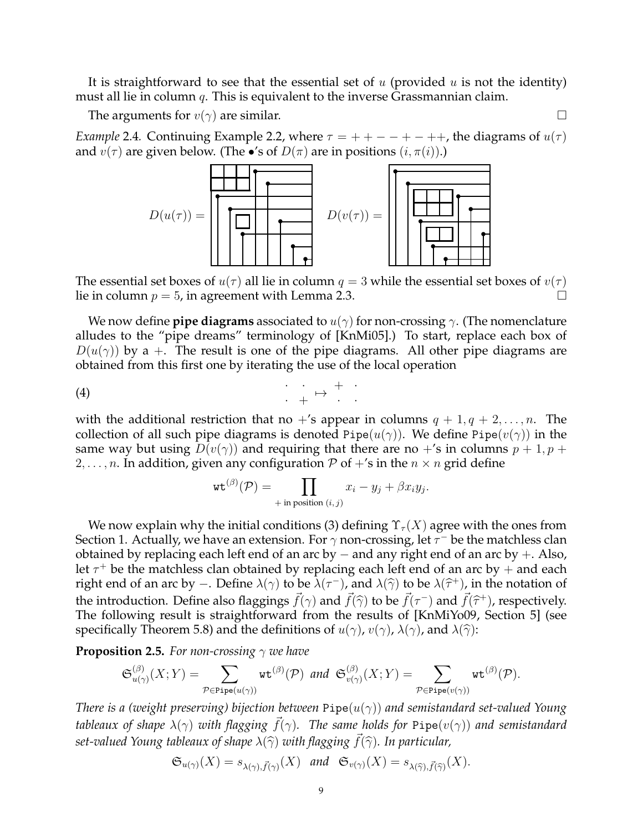It is straightforward to see that the essential set of u (provided u is not the identity) must all lie in column  $q$ . This is equivalent to the inverse Grassmannian claim.

The arguments for  $v(\gamma)$  are similar.

*Example* 2.4. Continuing Example 2.2, where  $\tau = ++--+-++$ , the diagrams of  $u(\tau)$ and  $v(\tau)$  are given below. (The •'s of  $D(\pi)$  are in positions  $(i, \pi(i))$ .)



The essential set boxes of  $u(\tau)$  all lie in column  $q = 3$  while the essential set boxes of  $v(\tau)$ lie in column  $p = 5$ , in agreement with Lemma 2.3.

We now define **pipe diagrams** associated to  $u(\gamma)$  for non-crossing  $\gamma$ . (The nomenclature alludes to the "pipe dreams" terminology of [KnMi05].) To start, replace each box of  $D(u(\gamma))$  by a +. The result is one of the pipe diagrams. All other pipe diagrams are obtained from this first one by iterating the use of the local operation

$$
\begin{array}{cccc}\n\text{(4)} & \cdot & \cdot & \cdot & \cdot & \cdot \\
& & \cdot & \cdot & \cdot & \cdot \\
& & & \cdot & \cdot & \cdot\n\end{array}
$$

with the additional restriction that no  $+$ 's appear in columns  $q + 1, q + 2, \ldots, n$ . The collection of all such pipe diagrams is denoted Pipe $(u(\gamma))$ . We define Pipe $(v(\gamma))$  in the same way but using  $D(v(\gamma))$  and requiring that there are no +'s in columns  $p + 1$ ,  $p + 1$ 2, ..., n. In addition, given any configuration P of  $+$ 's in the  $n \times n$  grid define

$$
\operatorname{wt}^{(\beta)}(\mathcal{P}) = \prod_{\substack{\text{+ in position } (i,j)}} x_i - y_j + \beta x_i y_j.
$$

We now explain why the initial conditions (3) defining  $\Upsilon_{\tau}(X)$  agree with the ones from Section 1. Actually, we have an extension. For  $\gamma$  non-crossing, let  $\tau^-$  be the matchless clan obtained by replacing each left end of an arc by  $-$  and any right end of an arc by  $+$ . Also, let  $\tau^+$  be the matchless clan obtained by replacing each left end of an arc by  $+$  and each right end of an arc by –. Define  $\lambda(\gamma)$  to be  $\overline{\lambda}(\tau^-)$ , and  $\lambda(\widehat{\gamma})$  to be  $\lambda(\widehat{\tau}^+)$ , in the notation of the introduction. Define also flaggings  $\vec{f}(\gamma)$  and  $\vec{f}(\hat{\gamma})$  to be  $\vec{f}(\tau^-)$  and  $\vec{f}(\hat{\tau}^+)$ , respectively.<br>The following result is straightforward from the results of  $W_{\mathbf{a}}$ MiXe00, Soction 51 (see The following result is straightforward from the results of [KnMiYo09, Section 5] (see specifically Theorem 5.8) and the definitions of  $u(\gamma)$ ,  $v(\gamma)$ ,  $\lambda(\gamma)$ , and  $\lambda(\hat{\gamma})$ :

**Proposition 2.5.** *For non-crossing*  $\gamma$  *we have* 

$$
\mathfrak{S}^{(\beta)}_{u(\gamma)}(X;Y)=\sum_{\mathcal{P}\in \text{Pipe}(u(\gamma))}\text{wt}^{(\beta)}(\mathcal{P})\ \ \text{and}\ \ \mathfrak{S}^{(\beta)}_{v(\gamma)}(X;Y)=\sum_{\mathcal{P}\in \text{Pipe}(v(\gamma))}\text{wt}^{(\beta)}(\mathcal{P}).
$$

*There is a (weight preserving) bijection between* Pipe(u(γ)) *and semistandard set-valued Young tableaux of shape*  $\lambda(\gamma)$  *with flagging*  $\vec{f}(\gamma)$ *. The same holds for* Pipe( $v(\gamma)$ ) *and semistandard set-valued Young tableaux of shape*  $\lambda(\widehat{\gamma})$  *with flagging*  $\vec{f}(\widehat{\gamma})$ *. In particular,*<br> $\mathfrak{S}_{\nu(\alpha)}(X) = s_{\lambda(\alpha)} \vec{g}_{\alpha}(X)$  *and*  $\mathfrak{S}_{\nu(\alpha)}(X) = s_{\lambda(\widehat{\gamma})} \vec{g}_{\alpha}(\widehat{\gamma})$ 

$$
\mathfrak{S}_{u(\gamma)}(X) = s_{\lambda(\gamma), \vec{f}(\gamma)}(X) \quad \text{and} \quad \mathfrak{S}_{v(\gamma)}(X) = s_{\lambda(\widehat{\gamma}), \vec{f}(\widehat{\gamma})}(X).
$$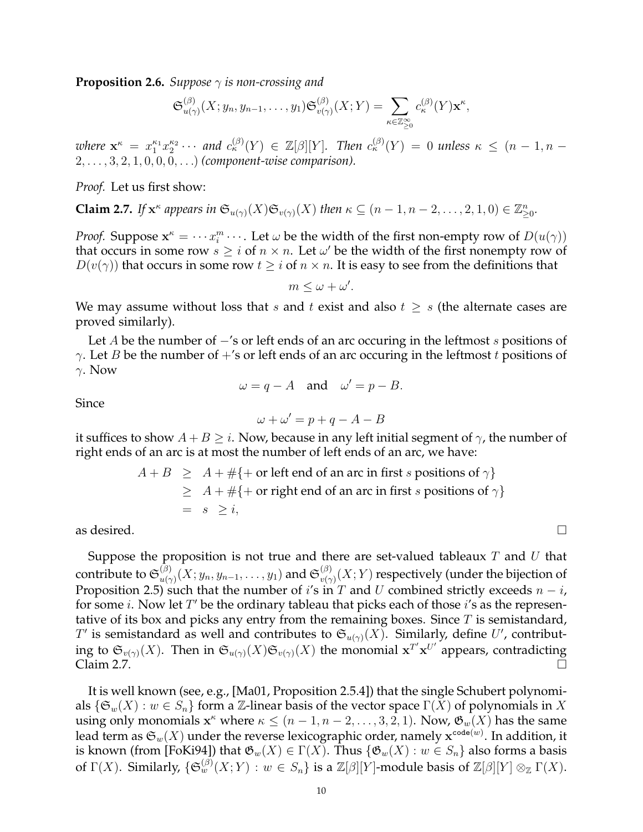**Proposition 2.6.** *Suppose* γ *is non-crossing and*

$$
\mathfrak{S}_{u(\gamma)}^{(\beta)}(X; y_n, y_{n-1}, \dots, y_1) \mathfrak{S}_{v(\gamma)}^{(\beta)}(X; Y) = \sum_{\kappa \in \mathbb{Z}_{\geq 0}^{\infty}} c_{\kappa}^{(\beta)}(Y) \mathbf{x}^{\kappa},
$$

where  $\mathbf{x}^{\kappa} = x_1^{\kappa_1} x_2^{\kappa_2} \cdots$  and  $c_{\kappa}^{(\beta)}(Y) \in \mathbb{Z}[\beta][Y]$ . Then  $c_{\kappa}^{(\beta)}(Y) = 0$  unless  $\kappa \leq (n-1, n-1)$ 2, . . . , 3, 2, 1, 0, 0, 0, . . .) *(component-wise comparison).*

*Proof.* Let us first show:

**Claim 2.7.** If  $\mathbf{x}^{\kappa}$  appears in  $\mathfrak{S}_{u(\gamma)}(X) \mathfrak{S}_{v(\gamma)}(X)$  then  $\kappa \subseteq (n-1, n-2, \ldots, 2, 1, 0) \in \mathbb{Z}_{\geq 0}^n$ .

*Proof.* Suppose  $\mathbf{x}^k = \cdots x_i^m \cdots$ . Let  $\omega$  be the width of the first non-empty row of  $D(u(\gamma))$ that occurs in some row  $s \geq i$  of  $n \times n$ . Let  $\omega'$  be the width of the first nonempty row of  $D(v(\gamma))$  that occurs in some row  $t \geq i$  of  $n \times n$ . It is easy to see from the definitions that

 $m \leq \omega + \omega'.$ 

We may assume without loss that s and t exist and also  $t \geq s$  (the alternate cases are proved similarly).

Let A be the number of  $-$ 's or left ends of an arc occuring in the leftmost s positions of  $\gamma$ . Let *B* be the number of  $+$ 's or left ends of an arc occuring in the leftmost *t* positions of γ. Now

$$
\omega = q - A \quad \text{and} \quad \omega' = p - B.
$$

Since

$$
\omega + \omega' = p + q - A - B
$$

it suffices to show  $A + B \geq i$ . Now, because in any left initial segment of  $\gamma$ , the number of right ends of an arc is at most the number of left ends of an arc, we have:

$$
A + B \geq A + #\{+\text{ or left end of an arc in first } s \text{ positions of } \gamma\}
$$
  
\n
$$
\geq A + #\{+\text{ or right end of an arc in first } s \text{ positions of } \gamma\}
$$
  
\n
$$
= s \geq i,
$$

as desired.  $\Box$ 

Suppose the proposition is not true and there are set-valued tableaux  $T$  and  $U$  that contribute to  $\mathfrak{S}^{(\beta)}_{u(\gamma)}$  $u^{(\beta)}_{u(\gamma)}(X;y_n,y_{n-1},\ldots,y_1)$  and  ${\mathfrak S}^{(\beta)}_{v(\gamma)}$  $\psi_{v(\gamma)}^{(\beta)}(X;Y)$  respectively (under the bijection of Proposition 2.5) such that the number of i's in T and U combined strictly exceeds  $n - i$ , for some *i*. Now let  $T'$  be the ordinary tableau that picks each of those *i*'s as the representative of its box and picks any entry from the remaining boxes. Since  $T$  is semistandard,  $T'$  is semistandard as well and contributes to  $\mathfrak{S}_{u(\gamma)}(X)$ . Similarly, define  $U'$ , contributing to  $\mathfrak{S}_{v(\gamma)}(X)$ . Then in  $\mathfrak{S}_{u(\gamma)}(X)\mathfrak{S}_{v(\gamma)}(X)$  the monomial  $\mathbf{x}^{T'}\mathbf{x}^{U'}$  appears, contradicting  $\Delta$ Claim 2.7.  $\Box$ 

It is well known (see, e.g., [Ma01, Proposition 2.5.4]) that the single Schubert polynomials  $\{\mathfrak{S}_w(X) : w \in S_n\}$  form a Z-linear basis of the vector space  $\Gamma(X)$  of polynomials in X using only monomials  $\mathbf{x}^{\kappa}$  where  $\kappa \leq (n-1, n-2, \ldots, 3, 2, 1)$ . Now,  $\mathfrak{G}_w(X)$  has the same lead term as  $\mathfrak{S}_w(X)$  under the reverse lexicographic order, namely  $\mathbf{x}^{\mathtt{code}(w)}.$  In addition, it is known (from [FoKi94]) that  $\mathfrak{G}_w(X) \in \Gamma(X)$ . Thus  $\{\mathfrak{G}_w(X) : w \in S_n\}$  also forms a basis of  $\Gamma(X).$  Similarly,  $\{\mathfrak{S}_w^{(\beta)}(X;Y): w\in S_n\}$  is a  $\mathbb{Z}[\beta][Y]$ -module basis of  $\mathbb{Z}[\beta][Y]\otimes_{\mathbb{Z}}\Gamma(X).$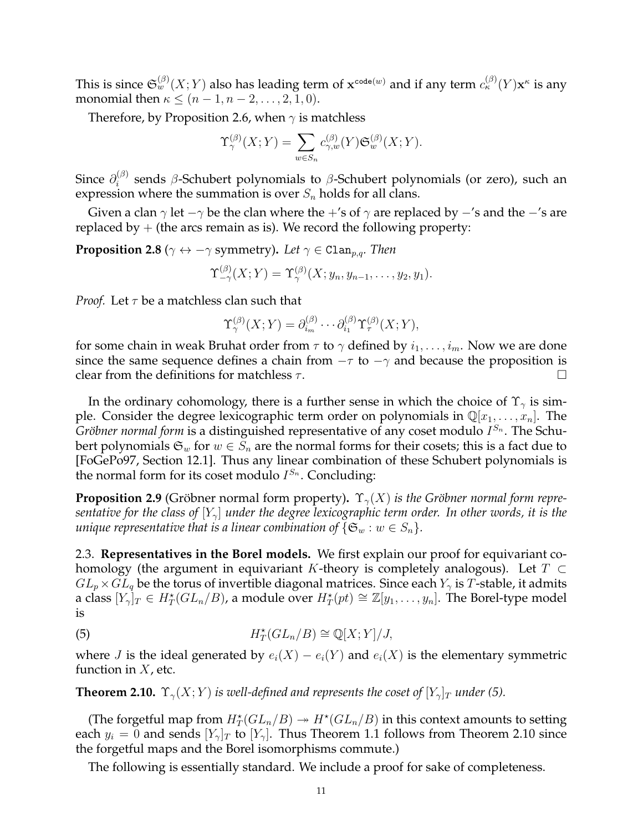This is since  $\mathfrak{S}_w^{(\beta)}(X;Y)$  also has leading term of  $\mathbf{x}^{\mathtt{code}(w)}$  and if any term  $c_\kappa^{(\beta)}(Y)\mathbf{x}^\kappa$  is any monomial then  $\kappa \le (n-1, n-2, \ldots, 2, 1, 0)$ .

Therefore, by Proposition 2.6, when  $\gamma$  is matchless

$$
\Upsilon_{\gamma}^{(\beta)}(X;Y) = \sum_{w \in S_n} c_{\gamma,w}^{(\beta)}(Y) \mathfrak{S}_{w}^{(\beta)}(X;Y).
$$

Since  $\partial_i^{(\beta)}$  $\binom{10}{i}$  sends β-Schubert polynomials to β-Schubert polynomials (or zero), such an expression where the summation is over  $S_n$  holds for all clans.

Given a clan  $\gamma$  let  $-\gamma$  be the clan where the +'s of  $\gamma$  are replaced by  $-$ 's and the  $-$ 's are replaced by  $+$  (the arcs remain as is). We record the following property:

**Proposition 2.8** ( $\gamma \leftrightarrow -\gamma$  symmetry). Let  $\gamma \in \text{Clan}_{p,q}$ . Then

$$
\Upsilon_{-\gamma}^{(\beta)}(X;Y)=\Upsilon_{\gamma}^{(\beta)}(X;y_n,y_{n-1},\ldots,y_2,y_1).
$$

*Proof.* Let  $\tau$  be a matchless clan such that

$$
\Upsilon_{\gamma}^{(\beta)}(X;Y) = \partial_{i_m}^{(\beta)} \cdots \partial_{i_1}^{(\beta)} \Upsilon_{\tau}^{(\beta)}(X;Y),
$$

for some chain in weak Bruhat order from  $\tau$  to  $\gamma$  defined by  $i_1, \ldots, i_m$ . Now we are done since the same sequence defines a chain from  $-\tau$  to  $-\gamma$  and because the proposition is clear from the definitions for matchless  $\tau$ .

In the ordinary cohomology, there is a further sense in which the choice of  $\Upsilon_{\gamma}$  is simple. Consider the degree lexicographic term order on polynomials in  $\mathbb{Q}[x_1, \ldots, x_n]$ . The *Gröbner normal form* is a distinguished representative of any coset modulo  $I^{S_n}$ . The Schubert polynomials  $\mathfrak{S}_w$  for  $w \in S_n$  are the normal forms for their cosets; this is a fact due to [FoGePo97, Section 12.1]. Thus any linear combination of these Schubert polynomials is the normal form for its coset modulo  $I^{S_n}$ . Concluding:

**Proposition 2.9** (Gröbner normal form property).  $\Upsilon_{\gamma}(X)$  *is the Gröbner normal form representative for the class of*  $[Y_{\gamma}]$  *under the degree lexicographic term order. In other words, it is the unique representative that is a linear combination of*  $\{\mathfrak{S}_w : w \in S_n\}$ .

2.3. **Representatives in the Borel models.** We first explain our proof for equivariant cohomology (the argument in equivariant K-theory is completely analogous). Let  $T \subset$  $GL_p \times GL_q$  be the torus of invertible diagonal matrices. Since each  $Y_\gamma$  is T-stable, it admits a class  $[Y_{\gamma}]_T\in H_T^{\star}(GL_n/B)$ , a module over  $H_T^{\star}(pt)\cong \mathbb{Z}[y_1,\ldots,y_n].$  The Borel-type model is

(5) 
$$
H_T^{\star}(GL_n/B)\cong \mathbb{Q}[X;Y]/J,
$$

where *J* is the ideal generated by  $e_i(X) - e_i(Y)$  and  $e_i(X)$  is the elementary symmetric function in  $X$ , etc.

**Theorem 2.10.**  $\Upsilon_{\gamma}(X;Y)$  *is well-defined and represents the coset of*  $[Y_{\gamma}]_T$  *under* (5).

(The forgetful map from  $H_T^{\star}(GL_n/B) \to H^{\star}(GL_n/B)$  in this context amounts to setting each  $y_i = 0$  and sends  $[Y_{\gamma}]_T$  to  $[Y_{\gamma}]$ . Thus Theorem 1.1 follows from Theorem 2.10 since the forgetful maps and the Borel isomorphisms commute.)

The following is essentially standard. We include a proof for sake of completeness.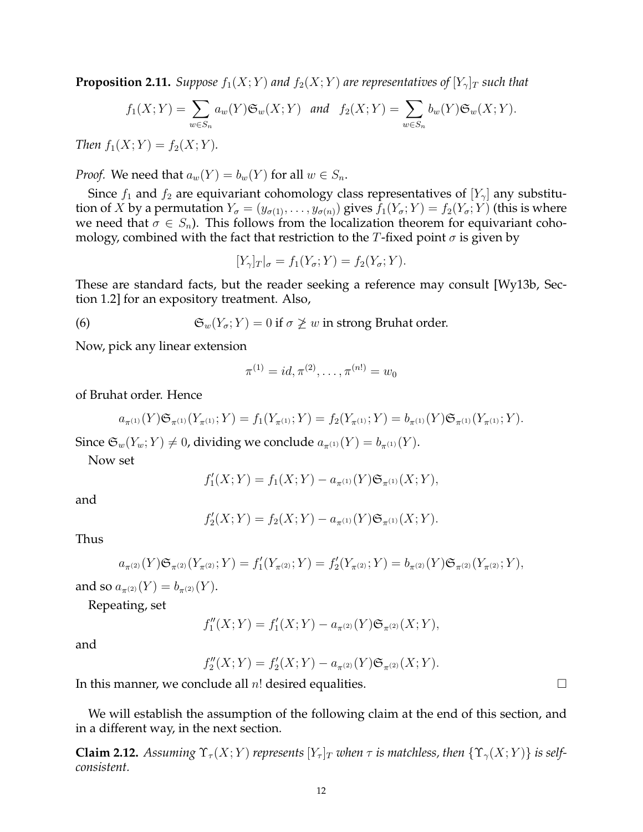**Proposition 2.11.** *Suppose*  $f_1(X;Y)$  *and*  $f_2(X;Y)$  *are representatives of*  $[Y_{\gamma}]_T$  *such that* 

$$
f_1(X;Y) = \sum_{w \in S_n} a_w(Y) \mathfrak{S}_w(X;Y) \quad \text{and} \quad f_2(X;Y) = \sum_{w \in S_n} b_w(Y) \mathfrak{S}_w(X;Y).
$$

*Then*  $f_1(X;Y) = f_2(X;Y)$ *.* 

*Proof.* We need that  $a_w(Y) = b_w(Y)$  for all  $w \in S_n$ .

Since  $f_1$  and  $f_2$  are equivariant cohomology class representatives of  $[Y_\gamma]$  any substitution of X by a permutation  $Y_{\sigma} = (y_{\sigma(1)}, \ldots, y_{\sigma(n)})$  gives  $f_1(Y_{\sigma}; Y) = f_2(Y_{\sigma}; Y)$  (this is where we need that  $\sigma \in S_n$ ). This follows from the localization theorem for equivariant cohomology, combined with the fact that restriction to the T-fixed point  $\sigma$  is given by

$$
[Y_{\gamma}]_T|_{\sigma} = f_1(Y_{\sigma}; Y) = f_2(Y_{\sigma}; Y).
$$

These are standard facts, but the reader seeking a reference may consult [Wy13b, Section 1.2] for an expository treatment. Also,

(6) 
$$
\mathfrak{S}_w(Y_\sigma; Y) = 0 \text{ if } \sigma \not\geq w \text{ in strong Bruhat order.}
$$

Now, pick any linear extension

$$
\pi^{(1)} = id, \pi^{(2)}, \dots, \pi^{(n!)} = w_0
$$

of Bruhat order. Hence

$$
a_{\pi^{(1)}}(Y)\mathfrak{S}_{\pi^{(1)}}(Y_{\pi^{(1)}};Y) = f_1(Y_{\pi^{(1)}};Y) = f_2(Y_{\pi^{(1)}};Y) = b_{\pi^{(1)}}(Y)\mathfrak{S}_{\pi^{(1)}}(Y_{\pi^{(1)}};Y).
$$

Since  $\mathfrak{S}_w(Y_w; Y) \neq 0$ , dividing we conclude  $a_{\pi^{(1)}}(Y) = b_{\pi^{(1)}}(Y)$ .

Now set

$$
f'_1(X;Y) = f_1(X;Y) - a_{\pi^{(1)}}(Y) \mathfrak{S}_{\pi^{(1)}}(X;Y),
$$

and

$$
f'_{2}(X;Y) = f_{2}(X;Y) - a_{\pi^{(1)}}(Y) \mathfrak{S}_{\pi^{(1)}}(X;Y).
$$

Thus

$$
a_{\pi^{(2)}}(Y)\mathfrak{S}_{\pi^{(2)}}(Y_{\pi^{(2)}};Y) = f_1'(Y_{\pi^{(2)}};Y) = f_2'(Y_{\pi^{(2)}};Y) = b_{\pi^{(2)}}(Y)\mathfrak{S}_{\pi^{(2)}}(Y_{\pi^{(2)}};Y),
$$

and so  $a_{\pi(2)}(Y) = b_{\pi(2)}(Y)$ .

Repeating, set

$$
f''_1(X;Y) = f'_1(X;Y) - a_{\pi^{(2)}}(Y) \mathfrak{S}_{\pi^{(2)}}(X;Y),
$$

and

$$
f_2''(X;Y) = f_2'(X;Y) - a_{\pi^{(2)}}(Y) \mathfrak{S}_{\pi^{(2)}}(X;Y).
$$

In this manner, we conclude all  $n!$  desired equalities.  $\Box$ 

We will establish the assumption of the following claim at the end of this section, and in a different way, in the next section.

**Claim 2.12.** *Assuming*  $\Upsilon_{\tau}(X;Y)$  *represents*  $[Y_{\tau}]_T$  *when*  $\tau$  *is matchless, then*  $\{\Upsilon_{\gamma}(X;Y)\}$  *is selfconsistent.*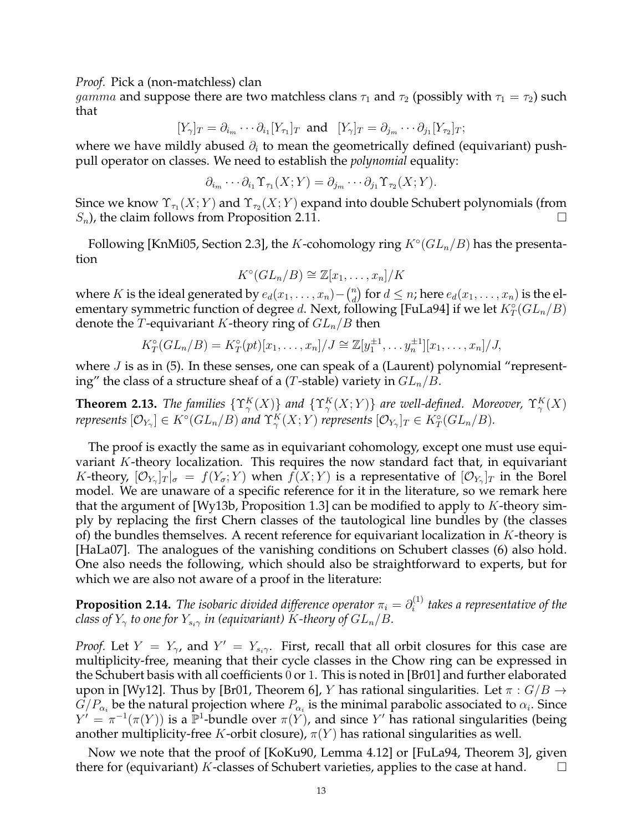*Proof.* Pick a (non-matchless) clan

*gamma* and suppose there are two matchless clans  $\tau_1$  and  $\tau_2$  (possibly with  $\tau_1 = \tau_2$ ) such that

$$
[Y_{\gamma}]_T = \partial_{i_m} \cdots \partial_{i_1} [Y_{\tau_1}]_T \text{ and } [Y_{\gamma}]_T = \partial_{j_m} \cdots \partial_{j_1} [Y_{\tau_2}]_T;
$$

where we have mildly abused  $\partial_i$  to mean the geometrically defined (equivariant) pushpull operator on classes. We need to establish the *polynomial* equality:

$$
\partial_{i_m} \cdots \partial_{i_1} \Upsilon_{\tau_1}(X;Y) = \partial_{j_m} \cdots \partial_{j_1} \Upsilon_{\tau_2}(X;Y).
$$

Since we know  $\Upsilon_{\tau_1}(X;Y)$  and  $\Upsilon_{\tau_2}(X;Y)$  expand into double Schubert polynomials (from  $S_n$ ), the claim follows from Proposition 2.11.

Following [KnMi05, Section 2.3], the K-cohomology ring  $K^{\circ}(GL_n/B)$  has the presentation

$$
K^{\circ}(GL_n/B)\cong \mathbb{Z}[x_1,\ldots,x_n]/K
$$

where K is the ideal generated by  $e_d(x_1, \ldots, x_n) - {n \choose d}$  $\binom{n}{d}$  for  $d \leq n$ ; here  $e_d(x_1, \ldots, x_n)$  is the elementary symmetric function of degree  $d.$  Next, following [FuLa94] if we let  $K^\circ_T(GL_n/B)$ denote the T-equivariant K-theory ring of  $GL_n/B$  then

$$
K_T^{\circ}(GL_n/B) = K_T^{\circ}(pt)[x_1, \ldots, x_n]/J \cong \mathbb{Z}[y_1^{\pm 1}, \ldots, y_n^{\pm 1}][x_1, \ldots, x_n]/J,
$$

where  $J$  is as in (5). In these senses, one can speak of a (Laurent) polynomial "representing" the class of a structure sheaf of a (T-stable) variety in  $GL_n/B$ .

**Theorem 2.13.** *The families*  $\{ \Upsilon_{\gamma}^{K}(X) \}$  *and*  $\{ \Upsilon_{\gamma}^{K}(X;Y) \}$  *are well-defined. Moreover,*  $\Upsilon_{\gamma}^{K}(X)$ *represents*  $[\mathcal{O}_{Y_\gamma}] \in K^\circ(GL_n/B)$  and  $\Upsilon_\gamma^K(X;Y)$  *represents*  $[\mathcal{O}_{Y_\gamma}]_T \in K^\circ_T(GL_n/B)$ *.* 

The proof is exactly the same as in equivariant cohomology, except one must use equivariant  $K$ -theory localization. This requires the now standard fact that, in equivariant *K*-theory,  $[O_{Y_\gamma}]_T|_\sigma = f(Y_\sigma;Y)$  when  $f(X;Y)$  is a representative of  $[O_{Y_\gamma}]_T$  in the Borel model. We are unaware of a specific reference for it in the literature, so we remark here that the argument of [Wy13b, Proposition 1.3] can be modified to apply to  $K$ -theory simply by replacing the first Chern classes of the tautological line bundles by (the classes of) the bundles themselves. A recent reference for equivariant localization in  $K$ -theory is [HaLa07]. The analogues of the vanishing conditions on Schubert classes (6) also hold. One also needs the following, which should also be straightforward to experts, but for which we are also not aware of a proof in the literature:

**Proposition 2.14.** *The isobaric divided difference operator*  $\pi_i = \partial_i^{(1)}$ i *takes a representative of the class of*  $Y_\gamma$  *to one for*  $Y_{s_i\gamma}$  *in (equivariant)* K-theory of  $GL_n/B$ .

*Proof.* Let  $Y = Y_{\gamma}$ , and  $Y' = Y_{s_i\gamma}$ . First, recall that all orbit closures for this case are multiplicity-free, meaning that their cycle classes in the Chow ring can be expressed in the Schubert basis with all coefficients 0 or 1. This is noted in [Br01] and further elaborated upon in [Wy12]. Thus by [Br01, Theorem 6], Y has rational singularities. Let  $\pi: G/B \to$  $G/P_{\alpha_i}$  be the natural projection where  $P_{\alpha_i}$  is the minimal parabolic associated to  $\alpha_i.$  Since  $Y' = \pi^{-1}(\pi(Y))$  is a  $\overline{\mathbb{P}^1}$ -bundle over  $\pi(Y)$ , and since  $Y'$  has rational singularities (being another multiplicity-free K-orbit closure),  $\pi(Y)$  has rational singularities as well.

Now we note that the proof of [KoKu90, Lemma 4.12] or [FuLa94, Theorem 3], given there for (equivariant) K-classes of Schubert varieties, applies to the case at hand.  $\square$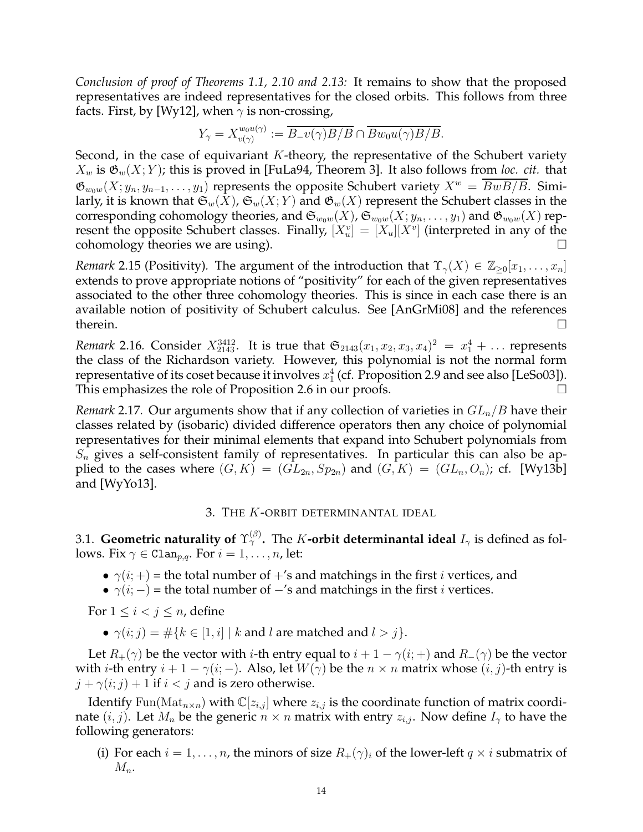*Conclusion of proof of Theorems 1.1, 2.10 and 2.13:* It remains to show that the proposed representatives are indeed representatives for the closed orbits. This follows from three facts. First, by [Wy12], when  $\gamma$  is non-crossing,

$$
Y_{\gamma}=X_{v(\gamma)}^{w_0u(\gamma)}:=\overline{B_{-}v(\gamma)B/B}\cap \overline{Bw_0u(\gamma)B/B}.
$$

Second, in the case of equivariant  $K$ -theory, the representative of the Schubert variety  $X_w$  is  $\mathfrak{G}_w(X; Y)$ ; this is proved in [FuLa94, Theorem 3]. It also follows from *loc. cit.* that  $\mathfrak{G}_{w_0w}(X; y_n, y_{n-1}, \ldots, y_1)$  represents the opposite Schubert variety  $X^w = \overline{BwB/B}$ . Similarly, it is known that  $\mathfrak{S}_w(\bar{X})$ ,  $\mathfrak{S}_w(X; Y)$  and  $\mathfrak{G}_w(X)$  represent the Schubert classes in the corresponding cohomology theories, and  $\mathfrak{S}_{w_0w}(X)$ ,  $\mathfrak{S}_{w_0w}(X; y_n, \ldots, y_1)$  and  $\mathfrak{G}_{w_0w}(X)$  represent the opposite Schubert classes. Finally,  $[X_u^v] = [X_u][X^v]$  (interpreted in any of the cohomology theories we are using).  $\Box$ 

*Remark* 2.15 (Positivity). The argument of the introduction that  $\Upsilon_{\gamma}(X) \in \mathbb{Z}_{\geq 0}[x_1, \ldots, x_n]$ extends to prove appropriate notions of "positivity" for each of the given representatives associated to the other three cohomology theories. This is since in each case there is an available notion of positivity of Schubert calculus. See [AnGrMi08] and the references therein.  $\Box$ 

*Remark* 2.16. Consider  $X_{2143}^{3412}$ . It is true that  $\mathfrak{S}_{2143}(x_1, x_2, x_3, x_4)^2 = x_1^4 + \dots$  represents the class of the Richardson variety. However, this polynomial is not the normal form representative of its coset because it involves  $x_1^4$  (cf. Proposition 2.9 and see also [LeSo03]). This emphasizes the role of Proposition 2.6 in our proofs.

*Remark* 2.17. Our arguments show that if any collection of varieties in  $GL_n/B$  have their classes related by (isobaric) divided difference operators then any choice of polynomial representatives for their minimal elements that expand into Schubert polynomials from  $S_n$  gives a self-consistent family of representatives. In particular this can also be applied to the cases where  $(G, K) = (GL_{2n}, Sp_{2n})$  and  $(G, K) = (GL_n, O_n)$ ; cf. [Wy13b] and [WyYo13].

### 3. THE K-ORBIT DETERMINANTAL IDEAL

3.1. **Geometric naturality of**  $\Upsilon_\gamma^{(\beta)}$ . The  $K$ **-orbit determinantal ideal**  $I_\gamma$  is defined as follows. Fix  $\gamma \in \text{Clan}_{p,q}$ . For  $i = 1, \ldots, n$ , let:

- $\gamma(i;+)$  = the total number of +'s and matchings in the first *i* vertices, and
- $\gamma(i; -)$  = the total number of  $-i$  and matchings in the first *i* vertices.

For  $1 \leq i < j \leq n$ , define

•  $\gamma(i; j) = \#\{k \in [1, i] \mid k \text{ and } l \text{ are matched and } l > j\}.$ 

Let  $R_+(\gamma)$  be the vector with *i*-th entry equal to  $i + 1 - \gamma(i;+)$  and  $R_-(\gamma)$  be the vector with *i*-th entry  $i + 1 - \gamma(i; -)$ . Also, let  $W(\gamma)$  be the  $n \times n$  matrix whose  $(i, j)$ -th entry is  $j + \gamma(i; j) + 1$  if  $i < j$  and is zero otherwise.

Identify Fun(Mat<sub>n×n</sub>) with  $\mathbb{C}[z_{i,j}]$  where  $z_{i,j}$  is the coordinate function of matrix coordinate  $(i, j)$ . Let  $M_n$  be the generic  $n \times n$  matrix with entry  $z_{i,j}$ . Now define  $I_{\gamma}$  to have the following generators:

(i) For each  $i = 1, \ldots, n$ , the minors of size  $R_+(\gamma)_i$  of the lower-left  $q \times i$  submatrix of  $M_n$ .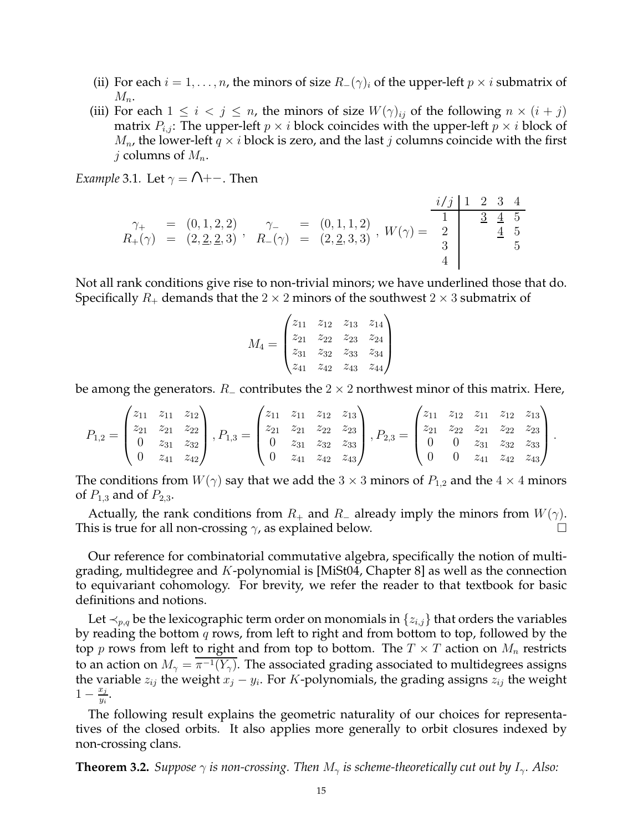- (ii) For each  $i = 1, \ldots, n$ , the minors of size  $R_-(\gamma)_i$  of the upper-left  $p \times i$  submatrix of  $M_n$ .
- (iii) For each  $1 \leq i \leq j \leq n$ , the minors of size  $W(\gamma)_{ii}$  of the following  $n \times (i + j)$ matrix  $P_{i,j}$ : The upper-left  $p \times i$  block coincides with the upper-left  $p \times i$  block of  $M_n$ , the lower-left  $q \times i$  block is zero, and the last j columns coincide with the first j columns of  $M_n$ .

*Example* 3.1*.* Let  $\gamma = \bigcap_{n=1}^{\infty}$ . Then

$$
\begin{array}{rcl}\n\gamma_{+} & = & (0,1,2,2) \\
R_{+}(\gamma) & = & (2,2,2,3) \\
\end{array}, \quad\n\begin{array}{rcl}\n\gamma_{-} & = & (0,1,1,2) \\
R_{-}(\gamma) & = & (2,2,3,3) \\
\end{array},\n\quad\nW(\gamma) = \begin{array}{c|c}\n\frac{i/j & 1 & 2 & 3 & 4 \\
\hline\n1 & & 3 & 4 & 5 \\
\hline\n3 & & 4 & 5 \\
\end{array}
$$

Not all rank conditions give rise to non-trivial minors; we have underlined those that do. Specifically  $R_+$  demands that the 2  $\times$  2 minors of the southwest 2  $\times$  3 submatrix of

$$
M_4 = \begin{pmatrix} z_{11} & z_{12} & z_{13} & z_{14} \\ z_{21} & z_{22} & z_{23} & z_{24} \\ z_{31} & z_{32} & z_{33} & z_{34} \\ z_{41} & z_{42} & z_{43} & z_{44} \end{pmatrix}
$$

be among the generators.  $R_$  contributes the 2  $\times$  2 northwest minor of this matrix. Here,

$$
P_{1,2} = \begin{pmatrix} z_{11} & z_{11} & z_{12} \\ z_{21} & z_{21} & z_{22} \\ 0 & z_{31} & z_{32} \\ 0 & z_{41} & z_{42} \end{pmatrix}, P_{1,3} = \begin{pmatrix} z_{11} & z_{11} & z_{12} & z_{13} \\ z_{21} & z_{21} & z_{22} & z_{23} \\ 0 & z_{31} & z_{32} & z_{33} \\ 0 & z_{41} & z_{42} & z_{43} \end{pmatrix}, P_{2,3} = \begin{pmatrix} z_{11} & z_{12} & z_{11} & z_{12} & z_{13} \\ z_{21} & z_{22} & z_{21} & z_{22} & z_{23} \\ 0 & 0 & z_{31} & z_{32} & z_{33} \\ 0 & 0 & z_{41} & z_{42} & z_{43} \end{pmatrix}.
$$

The conditions from  $W(\gamma)$  say that we add the 3  $\times$  3 minors of  $P_{1,2}$  and the 4  $\times$  4 minors of  $P_{1,3}$  and of  $P_{2,3}$ .

Actually, the rank conditions from  $R_+$  and  $R_-$  already imply the minors from  $W(\gamma)$ . This is true for all non-crossing  $\gamma$ , as explained below.

Our reference for combinatorial commutative algebra, specifically the notion of multigrading, multidegree and  $K$ -polynomial is [MiSt04, Chapter 8] as well as the connection to equivariant cohomology. For brevity, we refer the reader to that textbook for basic definitions and notions.

Let  $\prec_{p,q}$  be the lexicographic term order on monomials in  $\{z_{i,j}\}\$  that orders the variables by reading the bottom  $q$  rows, from left to right and from bottom to top, followed by the top p rows from left to right and from top to bottom. The  $T \times T$  action on  $M_n$  restricts to an action on  $M_\gamma = \pi^{-1}(Y_\gamma).$  The associated grading associated to multidegrees assigns the variable  $z_{ij}$  the weight  $x_j - y_i$ . For K-polynomials, the grading assigns  $z_{ij}$  the weight  $1-\frac{x_j}{y_j}$  $\frac{x_j}{y_i}$ .

The following result explains the geometric naturality of our choices for representatives of the closed orbits. It also applies more generally to orbit closures indexed by non-crossing clans.

**Theorem 3.2.** *Suppose*  $\gamma$  *is non-crossing. Then*  $M_{\gamma}$  *is scheme-theoretically cut out by*  $I_{\gamma}$ *. Also:*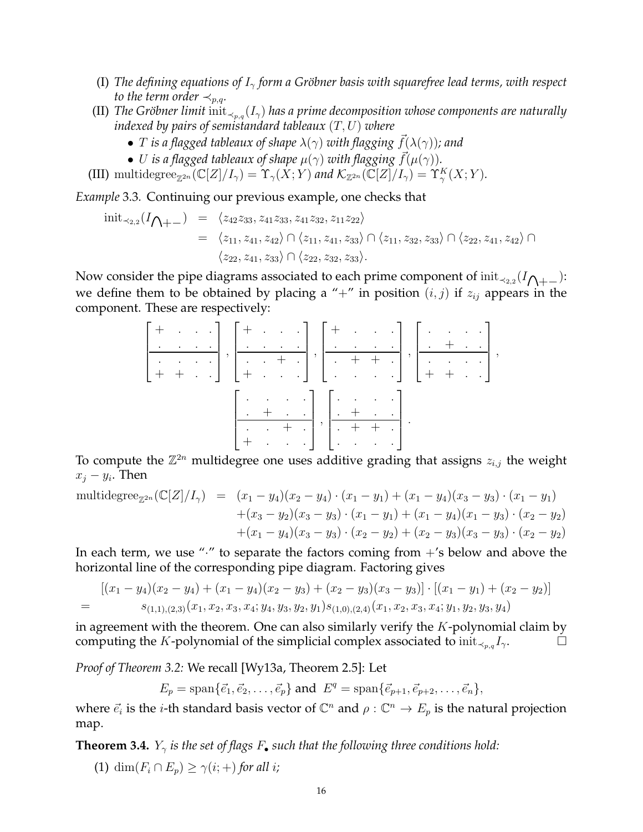- (I) *The defining equations of*  $I_{\gamma}$  *form a Gröbner basis with squarefree lead terms, with respect to the term order*  $\prec_{p,q}$ *.*
- (II) *The Gröbner limit* init<sub> $\prec_{p,q}(I_\gamma)$  *has a prime decomposition whose components are naturally*</sub> *indexed by pairs of semistandard tableaux* (T, U) *where*
	- *T* is a flagged tableaux of shape  $\lambda(\gamma)$  with flagging  $f(\lambda(\gamma))$ ; and
	- U is a flagged tableaux of shape  $\mu(\gamma)$  with flagging  $\vec{f}(\mu(\gamma)).$
- (III) multidegree<sub> $\mathbb{Z}^{2n}(\mathbb{C}[Z]/I_{\gamma}) = \Upsilon_{\gamma}(X;Y)$  and  $\mathcal{K}_{\mathbb{Z}^{2n}}(\mathbb{C}[Z]/I_{\gamma}) = \Upsilon_{\gamma}^{K}(X;Y)$ .</sub>

*Example* 3.3*.* Continuing our previous example, one checks that

$$
init_{\prec_{2,2}}(I_{\bigwedge_{+-}}) = \langle z_{42}z_{33}, z_{41}z_{33}, z_{41}z_{32}, z_{11}z_{22} \rangle
$$
  
=  $\langle z_{11}, z_{41}, z_{42} \rangle \cap \langle z_{11}, z_{41}, z_{33} \rangle \cap \langle z_{11}, z_{32}, z_{33} \rangle \cap \langle z_{22}, z_{41}, z_{42} \rangle \cap$   
 $\langle z_{22}, z_{41}, z_{33} \rangle \cap \langle z_{22}, z_{32}, z_{33} \rangle$ .

Now consider the pipe diagrams associated to each prime component of  $\text{init}_{\prec_{2,2}}(I_{{\bigwedge} + -})$ : we define them to be obtained by placing a "+" in position  $(i, j)$  if  $z_{ij}$  appears in the component. These are respectively:

|  |  |  |  |  |  | $\left[\begin{array}{cccc} + & . & . & . \\ . & . & . & . \\ . & . & . & . \\ + & + & . & . \end{array}\right],\left[\begin{array}{cccc} + & . & . & . \\ . & . & . & . \\ . & . & . & . \\ + & . & . & . \end{array}\right],\left[\begin{array}{cccc} + & . & . & . \\ . & . & . & . \\ . & . & + & . \\ . & . & . & . \end{array}\right],\left[\begin{array}{cccc} . & . & . & . \\ . & . & . & . \\ . & . & . & . \\ . & . & . & . \end{array}\right],\left[\begin{array}{cccc} . & . & . & . \\ . & . & . & . \\ . & . & . & .$ |  |  |  |  |
|--|--|--|--|--|--|-------------------------------------------------------------------------------------------------------------------------------------------------------------------------------------------------------------------------------------------------------------------------------------------------------------------------------------------------------------------------------------------------------------------------------------------------------------------------------------------------------------------------------------|--|--|--|--|
|  |  |  |  |  |  |                                                                                                                                                                                                                                                                                                                                                                                                                                                                                                                                     |  |  |  |  |
|  |  |  |  |  |  |                                                                                                                                                                                                                                                                                                                                                                                                                                                                                                                                     |  |  |  |  |
|  |  |  |  |  |  |                                                                                                                                                                                                                                                                                                                                                                                                                                                                                                                                     |  |  |  |  |
|  |  |  |  |  |  |                                                                                                                                                                                                                                                                                                                                                                                                                                                                                                                                     |  |  |  |  |
|  |  |  |  |  |  |                                                                                                                                                                                                                                                                                                                                                                                                                                                                                                                                     |  |  |  |  |
|  |  |  |  |  |  |                                                                                                                                                                                                                                                                                                                                                                                                                                                                                                                                     |  |  |  |  |
|  |  |  |  |  |  | $\left[\begin{array}{cccc} . & . & . & . \\ . & + & . & . \\ . & . & + & . \\ + & . & . & . \end{array}\right], \left[\begin{array}{cccc} . & . & . & . \\ . & + & . & . \\ . & + & + & . \\ . & . & . & . \end{array}\right].$                                                                                                                                                                                                                                                                                                     |  |  |  |  |

To compute the  $\mathbb{Z}^{2n}$  multidegree one uses additive grading that assigns  $z_{i,j}$  the weight  $x_j - y_i$ . Then

multidegree<sub>$$
\mathbb{Z}^{2n}
$$</sub> $(\mathbb{C}[Z]/I_{\gamma}) = (x_1 - y_4)(x_2 - y_4) \cdot (x_1 - y_1) + (x_1 - y_4)(x_3 - y_3) \cdot (x_1 - y_1) + (x_3 - y_2)(x_3 - y_3) \cdot (x_1 - y_1) + (x_1 - y_4)(x_1 - y_3) \cdot (x_2 - y_2) + (x_1 - y_4)(x_3 - y_3) \cdot (x_2 - y_2) + (x_2 - y_3)(x_3 - y_3) \cdot (x_2 - y_2)$ 

In each term, we use " $\cdot$ " to separate the factors coming from  $+$ 's below and above the horizontal line of the corresponding pipe diagram. Factoring gives

$$
[(x_1-y_4)(x_2-y_4)+(x_1-y_4)(x_2-y_3)+(x_2-y_3)(x_3-y_3)] \cdot [(x_1-y_1)+(x_2-y_2)]
$$
  
=  $s_{(1,1),(2,3)}(x_1,x_2,x_3,x_4;y_4,y_3,y_2,y_1)s_{(1,0),(2,4)}(x_1,x_2,x_3,x_4;y_1,y_2,y_3,y_4)$ 

in agreement with the theorem. One can also similarly verify the  $K$ -polynomial claim by computing the K-polynomial of the simplicial complex associated to  $\text{init}_{\prec_{p,q}} I_{\gamma}$ .

*Proof of Theorem 3.2:* We recall [Wy13a, Theorem 2.5]: Let

 $E_p = \text{span}\{\vec{e}_1, \vec{e}_2, \dots, \vec{e}_p\}$  and  $E^q = \text{span}\{\vec{e}_{p+1}, \vec{e}_{p+2}, \dots, \vec{e}_n\},$ 

where  $\vec{e}_i$  is the *i*-th standard basis vector of  $\mathbb{C}^n$  and  $\rho : \mathbb{C}^n \to E_p$  is the natural projection map.

**Theorem 3.4.**  $Y_{\gamma}$  *is the set of flags F*. *such that the following three conditions hold:* 

(1) dim $(F_i \cap E_p) \geq \gamma(i;+)$  *for all i*;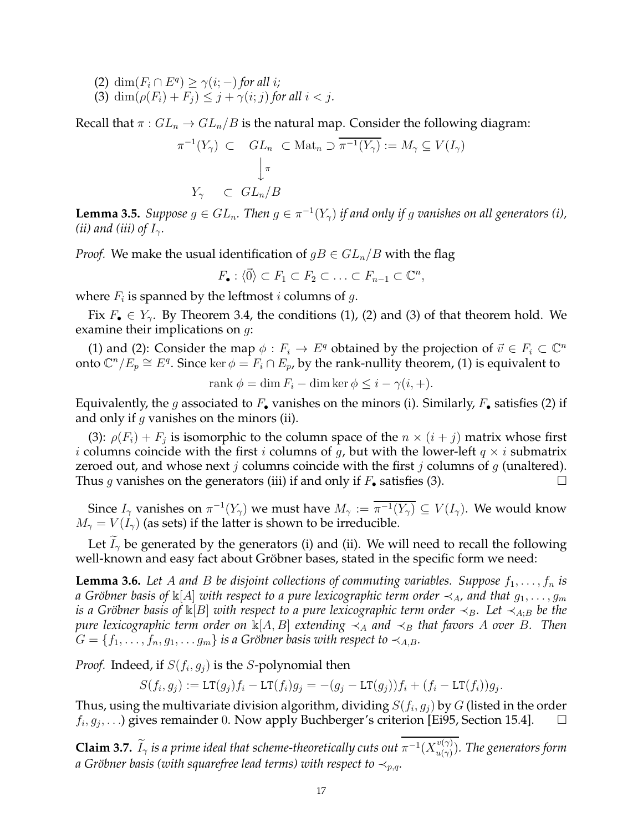- (2) dim $(F_i \cap E^q) \ge \gamma(i; -)$  *for all i*;
- (3) dim $(\rho(F_i) + F_j) \leq j + \gamma(i; j)$  for all  $i < j$ .

Recall that  $\pi$  :  $GL_n \to GL_n/B$  is the natural map. Consider the following diagram:

$$
\pi^{-1}(Y_{\gamma}) \subset GL_n \subset \text{Mat}_n \supset \overline{\pi^{-1}(Y_{\gamma})} := M_{\gamma} \subseteq V(I_{\gamma})
$$

$$
\downarrow^{\pi}
$$

$$
Y_{\gamma} \subset GL_n/B
$$

**Lemma 3.5.** *Suppose*  $g \in GL_n$ . Then  $g \in \pi^{-1}(Y_\gamma)$  if and only if g vanishes on all generators (i), *(ii) and (iii) of*  $I_{\gamma}$ *.* 

*Proof.* We make the usual identification of  $gB \in GL_n/B$  with the flag

 $F_{\bullet}: \langle \vec{0} \rangle \subset F_1 \subset F_2 \subset \ldots \subset F_{n-1} \subset \mathbb{C}^n,$ 

where  $F_i$  is spanned by the leftmost  $i$  columns of  $g$ .

Fix  $F_{\bullet} \in Y_{\gamma}$ . By Theorem 3.4, the conditions (1), (2) and (3) of that theorem hold. We examine their implications on g:

(1) and (2): Consider the map  $\phi : F_i \to E^q$  obtained by the projection of  $\vec{v} \in F_i \subset \mathbb{C}^n$ onto  $\mathbb{C}^n/E_p \cong E^q$ . Since ker  $\phi = F_i \cap E_p$ , by the rank-nullity theorem, (1) is equivalent to

rank  $\phi = \dim F_i - \dim \ker \phi \leq i - \gamma(i, +)$ .

Equivalently, the g associated to  $F_{\bullet}$  vanishes on the minors (i). Similarly,  $F_{\bullet}$  satisfies (2) if and only if  $q$  vanishes on the minors (ii).

(3):  $\rho(F_i) + F_j$  is isomorphic to the column space of the  $n \times (i + j)$  matrix whose first *i* columns coincide with the first *i* columns of *g*, but with the lower-left  $q \times i$  submatrix zeroed out, and whose next j columns coincide with the first j columns of  $g$  (unaltered). Thus g vanishes on the generators (iii) if and only if  $F_{\bullet}$  satisfies (3).

Since  $I_{\gamma}$  vanishes on  $\pi^{-1}(Y_{\gamma})$  we must have  $M_{\gamma} := \overline{\pi^{-1}(Y_{\gamma})} \subseteq V(I_{\gamma})$ . We would know  $M_{\gamma} = V(I_{\gamma})$  (as sets) if the latter is shown to be irreducible.

Let  $I_{\gamma}$  be generated by the generators (i) and (ii). We will need to recall the following well-known and easy fact about Gröbner bases, stated in the specific form we need:

**Lemma 3.6.** Let A and B be disjoint collections of commuting variables. Suppose  $f_1, \ldots, f_n$  is *a* Gröbner basis of  $\mathbb{k}[A]$  with respect to a pure lexicographic term order  $\prec_A$ , and that  $g_1, \ldots, g_m$ *is a Gröbner basis of*  $\mathbb{K}[B]$  *with respect to a pure lexicographic term order*  $\prec_B$ *. Let*  $\prec_{A;B}$  *be the pure lexicographic term order on*  $\mathbb{K}[A, B]$  *extending*  $\prec_A$  *and*  $\prec_B$  *that favors* A *over* B. Then  $G = \{f_1, \ldots, f_n, g_1, \ldots, g_m\}$  *is a Gröbner basis with respect to*  $\prec_{A,B}$ *.* 

*Proof.* Indeed, if  $S(f_i, g_j)$  is the S-polynomial then

$$
S(f_i, g_j) := \mathsf{LT}(g_j)f_i - \mathsf{LT}(f_i)g_j = -(g_j - \mathsf{LT}(g_j))f_i + (f_i - \mathsf{LT}(f_i))g_j.
$$

Thus, using the multivariate division algorithm, dividing  $S(f_i, g_j)$  by  $G$  (listed in the order  $f_i, g_j, \ldots$ ) gives remainder 0. Now apply Buchberger's criterion [Ei95, Section 15.4].  $\qquad \Box$ 

 ${\bf Claim ~3.7.}$   $\widetilde I_{\gamma}$  is a prime ideal that scheme-theoretically cuts out  $\pi^{-1}(X^{v(\gamma)}_{u(\gamma)}$  $\binom{v(\gamma)}{u(\gamma)}.$  The generators form *a* Gröbner basis (with squarefree lead terms) with respect to  $\prec_{p,q}$ .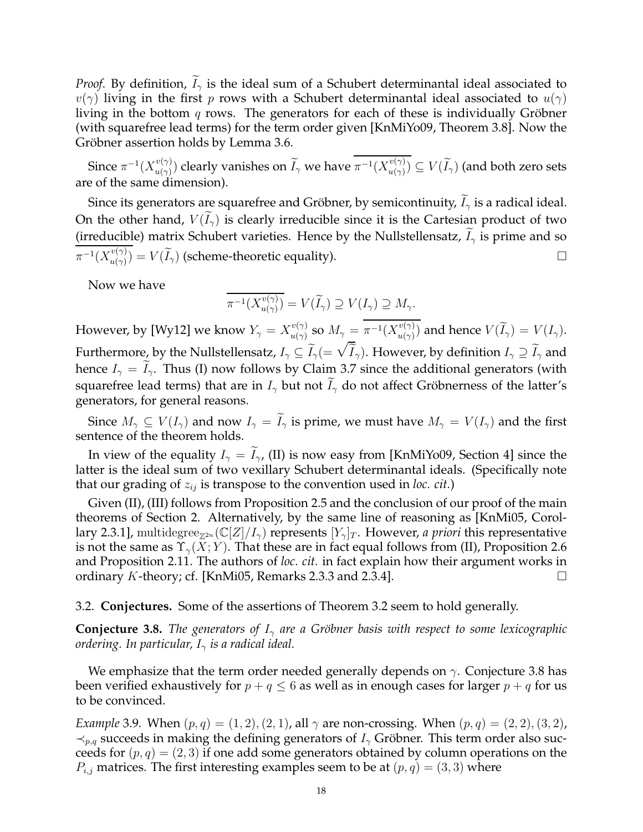*Proof.* By definition,  $I_{\gamma}$  is the ideal sum of a Schubert determinantal ideal associated to  $v(\gamma)$  living in the first p rows with a Schubert determinantal ideal associated to  $u(\gamma)$ living in the bottom  $q$  rows. The generators for each of these is individually Gröbner (with squarefree lead terms) for the term order given [KnMiYo09, Theorem 3.8]. Now the Gröbner assertion holds by Lemma 3.6.

Since  $\pi^{-1}(X_{u(\gamma)}^{v(\gamma)})$  $\hat{u}^{v(\gamma)}_{u(\gamma)})$  clearly vanishes on  $\widetilde{I}_\gamma$  we have  $\pi^{-1}(X^{v(\gamma)}_{u(\gamma)})$  $\mathcal{C}^{(v(\gamma))}_{u(\gamma)})\subseteq V(I_\gamma)$  (and both zero sets are of the same dimension).

Since its generators are squarefree and Gröbner, by semicontinuity,  $I_{\gamma}$  is a radical ideal. On the other hand,  $V(\tilde{I}_{\gamma})$  is clearly irreducible since it is the Cartesian product of two (irreducible) matrix Schubert varieties. Hence by the Nullstellensatz,  $I_{\gamma}$  is prime and so  $\pi^{-1}(X_{u(\gamma)}^{v(\gamma)}$  $\mathcal{U}^{v(\gamma)}_{u(\gamma)}) = V(\widetilde{I}_{\gamma})$  (scheme-theoretic equality).

Now we have

$$
\overline{\pi^{-1}(X_{u(\gamma)}^{v(\gamma)})} = V(\widetilde{I}_{\gamma}) \supseteq V(I_{\gamma}) \supseteq M_{\gamma}.
$$

However, by [Wy12] we know  $Y_\gamma = X_{u(\gamma)}^{v(\gamma)}$  $\frac{v(\gamma)}{u(\gamma)}$  so  $M_\gamma = \pi^{-1}(X^{v(\gamma)}_{u(\gamma)})$  $\binom{v(\gamma)}{u(\gamma)}$  and hence  $V(I_\gamma)=V(I_\gamma).$ Furthermore, by the Nullstellensatz,  $I_\gamma\subseteq \widetilde I_\gamma(=\sqrt{\widetilde I}_\gamma).$  However, by definition  $I_\gamma\supseteq \widetilde I_\gamma$  and hence  $I_{\gamma} = \tilde{I}_{\gamma}$ . Thus (I) now follows by Claim 3.7 since the additional generators (with squarefree lead terms) that are in  $I_{\gamma}$  but not  $I_{\gamma}$  do not affect Gröbnerness of the latter's generators, for general reasons.

Since  $M_\gamma \subseteq V(I_\gamma)$  and now  $I_\gamma = \widetilde{I}_\gamma$  is prime, we must have  $M_\gamma = V(I_\gamma)$  and the first sentence of the theorem holds.

In view of the equality  $I_{\gamma} = I_{\gamma}$ , (II) is now easy from [KnMiYo09, Section 4] since the latter is the ideal sum of two vexillary Schubert determinantal ideals. (Specifically note that our grading of  $z_{ij}$  is transpose to the convention used in *loc. cit.*)

Given (II), (III) follows from Proposition 2.5 and the conclusion of our proof of the main theorems of Section 2. Alternatively, by the same line of reasoning as [KnMi05, Corollary 2.3.1], multidegree<sub> $\mathbb{Z}^{2n}(\mathbb{C}[Z]/I_{\gamma})$  represents  $[Y_{\gamma}]_T$ . However, *a priori* this representative</sub> is not the same as  $\Upsilon_{\gamma}(X; Y)$ . That these are in fact equal follows from (II), Proposition 2.6 and Proposition 2.11. The authors of *loc. cit.* in fact explain how their argument works in ordinary  $K$ -theory; cf. [KnMi05, Remarks 2.3.3 and 2.3.4].

3.2. **Conjectures.** Some of the assertions of Theorem 3.2 seem to hold generally.

**Conjecture 3.8.** *The generators of*  $I_{\gamma}$  *are a Gröbner basis with respect to some lexicographic ordering. In particular,*  $I_{\gamma}$  *is a radical ideal.* 

We emphasize that the term order needed generally depends on  $\gamma$ . Conjecture 3.8 has been verified exhaustively for  $p + q \leq 6$  as well as in enough cases for larger  $p + q$  for us to be convinced.

*Example* 3.9*.* When  $(p, q) = (1, 2), (2, 1)$ , all  $\gamma$  are non-crossing. When  $(p, q) = (2, 2), (3, 2)$ ,  $\prec_{p,q}$  succeeds in making the defining generators of  $I_{\gamma}$  Gröbner. This term order also succeeds for  $(p, q) = (2, 3)$  if one add some generators obtained by column operations on the  $P_{i,j}$  matrices. The first interesting examples seem to be at  $(p, q) = (3, 3)$  where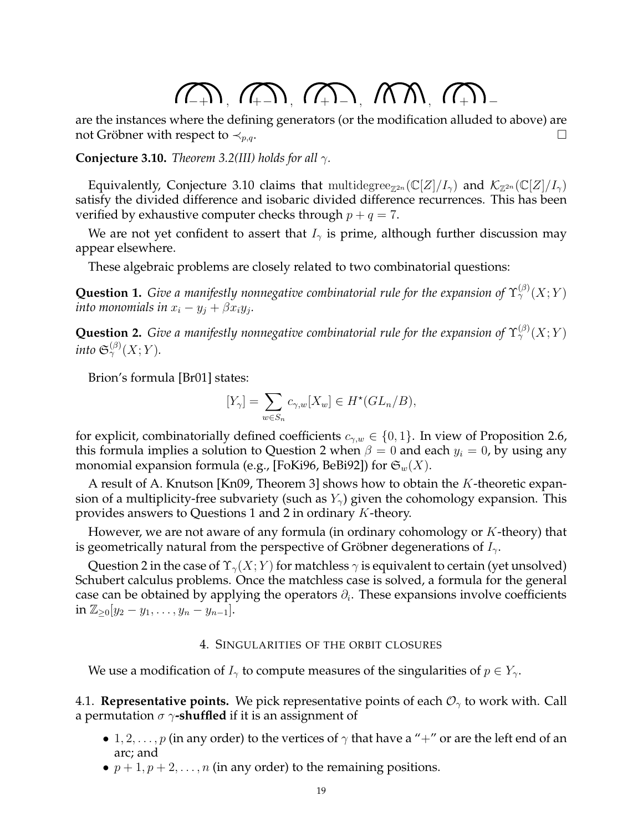# $(1, 1)$ ,  $(1, 1)$ ,  $(1, 1)$ ,  $(1, 1)$ ,  $(1, 1)$

are the instances where the defining generators (or the modification alluded to above) are not Gröbner with respect to  $\prec_{p,q}$ .

**Conjecture 3.10.** *Theorem 3.2(III) holds for all*  $\gamma$ *.* 

Equivalently, Conjecture 3.10 claims that multidegree<sub> $\mathbb{Z}^{2n}(\mathbb{C}[Z]/I_{\gamma})$  and  $\mathcal{K}_{\mathbb{Z}^{2n}}(\mathbb{C}[Z]/I_{\gamma})$ </sub> satisfy the divided difference and isobaric divided difference recurrences. This has been verified by exhaustive computer checks through  $p + q = 7$ .

We are not yet confident to assert that  $I_{\gamma}$  is prime, although further discussion may appear elsewhere.

These algebraic problems are closely related to two combinatorial questions:

**Question 1.** *Give a manifestly nonnegative combinatorial rule for the expansion of*  $\Upsilon^{(\beta)}_\gamma(X;Y)$ into monomials in  $x_i - y_j + \beta x_i y_j.$ 

**Question 2.** *Give a manifestly nonnegative combinatorial rule for the expansion of*  $\Upsilon_\gamma^{(\beta)}(X;Y)$ into  $\mathfrak{S}^{(\beta)}_{\gamma}(X;Y).$ 

Brion's formula [Br01] states:

$$
[Y_{\gamma}] = \sum_{w \in S_n} c_{\gamma,w}[X_w] \in H^*(GL_n/B),
$$

for explicit, combinatorially defined coefficients  $c_{\gamma,w} \in \{0,1\}$ . In view of Proposition 2.6, this formula implies a solution to Question 2 when  $\beta = 0$  and each  $y_i = 0$ , by using any monomial expansion formula (e.g., [FoKi96, BeBi92]) for  $\mathfrak{S}_w(X)$ .

A result of A. Knutson [Kn09, Theorem 3] shows how to obtain the K-theoretic expansion of a multiplicity-free subvariety (such as  $Y_{\gamma}$ ) given the cohomology expansion. This provides answers to Questions 1 and 2 in ordinary K-theory.

However, we are not aware of any formula (in ordinary cohomology or K-theory) that is geometrically natural from the perspective of Gröbner degenerations of  $I_{\gamma}$ .

Question 2 in the case of  $\Upsilon_{\gamma}(X;Y)$  for matchless  $\gamma$  is equivalent to certain (yet unsolved) Schubert calculus problems. Once the matchless case is solved, a formula for the general case can be obtained by applying the operators  $\partial_i$ . These expansions involve coefficients in  $\mathbb{Z}_{\geq 0}[y_2-y_1,\ldots,y_n-y_{n-1}].$ 

# 4. SINGULARITIES OF THE ORBIT CLOSURES

We use a modification of  $I_{\gamma}$  to compute measures of the singularities of  $p \in Y_{\gamma}$ .

4.1. **Representative points.** We pick representative points of each  $\mathcal{O}_{\gamma}$  to work with. Call a permutation  $\sigma$   $\gamma$ **-shuffled** if it is an assignment of

- 1, 2, . . . , p (in any order) to the vertices of  $\gamma$  that have a "+" or are the left end of an arc; and
- $p + 1, p + 2, \ldots, n$  (in any order) to the remaining positions.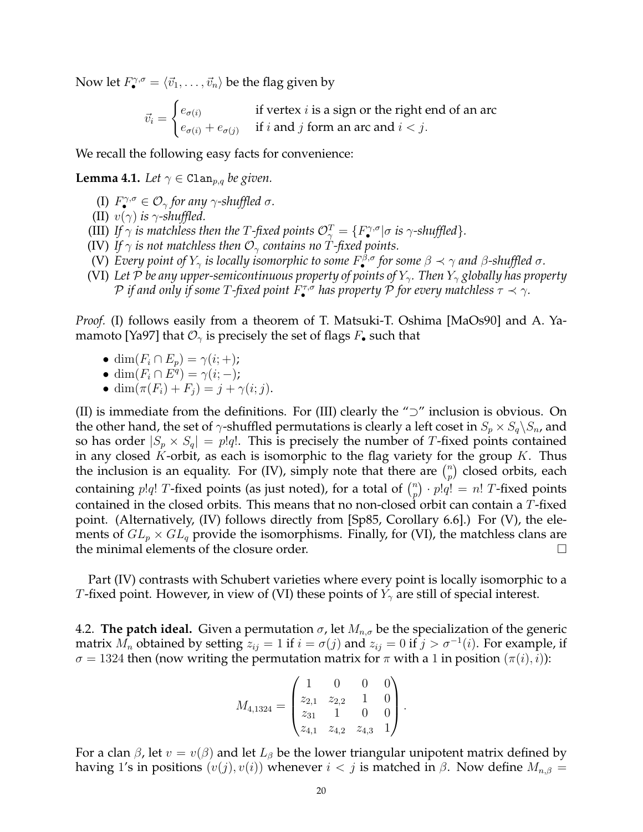Now let  $F_{\bullet}^{\gamma,\sigma} = \langle \vec{v}_1, \ldots, \vec{v}_n \rangle$  be the flag given by

$$
\vec{v}_i = \begin{cases} e_{\sigma(i)} & \text{if vertex } i \text{ is a sign or the right end of an arc} \\ e_{\sigma(i)} + e_{\sigma(j)} & \text{if } i \text{ and } j \text{ form an arc and } i < j. \end{cases}
$$

We recall the following easy facts for convenience:

**Lemma 4.1.** *Let*  $\gamma \in \text{Clan}_{p,q}$  *be given.* 

- (I)  $F^{\gamma,\sigma}_{\bullet} \in \mathcal{O}_{\gamma}$  for any  $\gamma$ -shuffled  $\sigma$ .
- (II)  $v(\gamma)$  *is*  $\gamma$ -shuffled.
- (III) If  $\gamma$  is matchless then the T-fixed points  $\mathcal{O}_\gamma^T = \{F_\bullet^{\gamma,\sigma} | \sigma \text{ is } \gamma\text{-shuffled} \}.$
- (IV) If  $\gamma$  *is not matchless then*  $\mathcal{O}_{\gamma}$  *contains no* T-fixed points.
- (V) Every point of  $Y_\gamma$  is locally isomorphic to some  $F^{\beta,\sigma}_\bullet$  for some  $\beta\prec\gamma$  and  $\beta$ -shuffled  $\sigma$ .
- (VI) Let P be any upper-semicontinuous property of points of  $Y_\gamma$ . Then  $Y_\gamma$  globally has property  ${\cal P}$  if and only if some  $T$ -fixed point  $F^{\tau,\sigma}_{\bullet}$  has property  ${\cal P}$  for every matchless  $\tau\prec\gamma.$

*Proof.* (I) follows easily from a theorem of T. Matsuki-T. Oshima [MaOs90] and A. Yamamoto [Ya97] that  $\mathcal{O}_{\gamma}$  is precisely the set of flags  $F_{\bullet}$  such that

- dim $(F_i \cap E_p) = \gamma(i; +)$ ;
- dim $(F_i \cap E^q) = \gamma(i; -);$
- dim $(\pi(F_i) + F_j) = j + \gamma(i; j).$

(II) is immediate from the definitions. For (III) clearly the "⊃" inclusion is obvious. On the other hand, the set of  $\gamma$ -shuffled permutations is clearly a left coset in  $S_p \times S_q \backslash S_n$ , and so has order  $|S_p \times S_q| = p!q!$ . This is precisely the number of T-fixed points contained in any closed  $K$ -orbit, as each is isomorphic to the flag variety for the group  $K$ . Thus the inclusion is an equality. For (IV), simply note that there are  $\binom{n}{n}$  $\binom{n}{p}$  closed orbits, each containing  $p!q!$  T-fixed points (as just noted), for a total of  $\binom{n}{n}$  $\binom{n}{p} \cdot p!q! = n!$  T-fixed points contained in the closed orbits. This means that no non-closed orbit can contain a T-fixed point. (Alternatively, (IV) follows directly from [Sp85, Corollary 6.6].) For (V), the elements of  $GL_p \times GL_q$  provide the isomorphisms. Finally, for (VI), the matchless clans are the minimal elements of the closure order.

Part (IV) contrasts with Schubert varieties where every point is locally isomorphic to a T-fixed point. However, in view of (VI) these points of  $Y_{\gamma}$  are still of special interest.

4.2. **The patch ideal.** Given a permutation  $\sigma$ , let  $M_{n,\sigma}$  be the specialization of the generic matrix  $M_n$  obtained by setting  $z_{ij} = 1$  if  $i = \sigma(j)$  and  $z_{ij} = 0$  if  $j > \sigma^{-1}(i)$ . For example, if  $\sigma = 1324$  then (now writing the permutation matrix for  $\pi$  with a 1 in position  $(\pi(i), i)$ ):

$$
M_{4,1324} = \begin{pmatrix} 1 & 0 & 0 & 0 \\ z_{2,1} & z_{2,2} & 1 & 0 \\ z_{31} & 1 & 0 & 0 \\ z_{4,1} & z_{4,2} & z_{4,3} & 1 \end{pmatrix}.
$$

For a clan  $\beta$ , let  $v = v(\beta)$  and let  $L_{\beta}$  be the lower triangular unipotent matrix defined by having 1's in positions  $(v(j), v(i))$  whenever  $i < j$  is matched in  $\beta$ . Now define  $M_{n,\beta} =$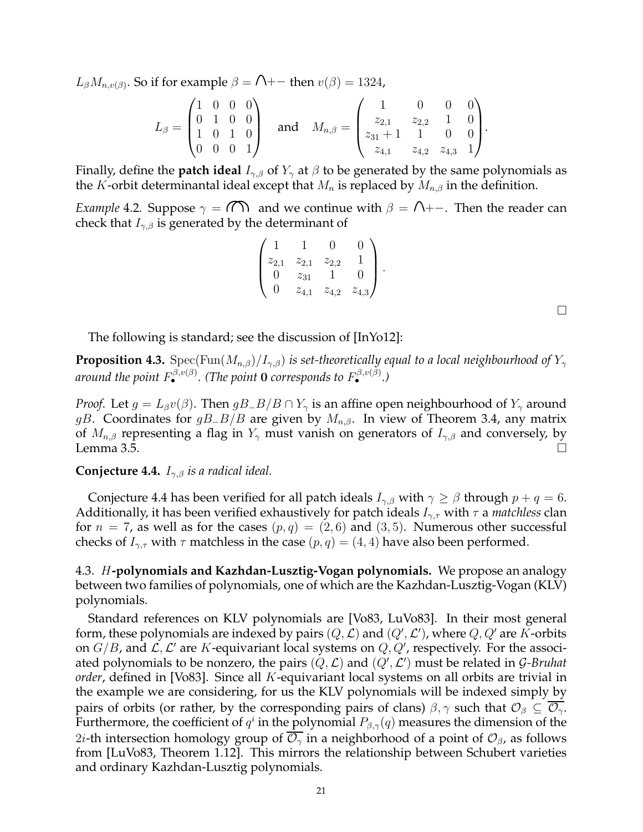$L_\beta M_{n,v(\beta)}$ . So if for example  $\beta = \bigcap_{n=0}^{\infty}$  then  $v(\beta) = 1324$ ,

$$
L_{\beta} = \begin{pmatrix} 1 & 0 & 0 & 0 \\ 0 & 1 & 0 & 0 \\ 1 & 0 & 1 & 0 \\ 0 & 0 & 0 & 1 \end{pmatrix} \quad \text{and} \quad M_{n,\beta} = \begin{pmatrix} 1 & 0 & 0 & 0 \\ z_{2,1} & z_{2,2} & 1 & 0 \\ z_{31} + 1 & 1 & 0 & 0 \\ z_{4,1} & z_{4,2} & z_{4,3} & 1 \end{pmatrix}.
$$

Finally, define the **patch ideal**  $I_{\gamma,\beta}$  of  $Y_{\gamma}$  at  $\beta$  to be generated by the same polynomials as the K-orbit determinantal ideal except that  $M_n$  is replaced by  $M_{n,\beta}$  in the definition.

*Example* 4.2. Suppose  $\gamma = (\cap)$  and we continue with  $\beta = \cap +-$ . Then the reader can check that  $I_{\gamma,\beta}$  is generated by the determinant of

$$
\begin{pmatrix} 1 & 1 & 0 & 0 \ z_{2,1} & z_{2,1} & z_{2,2} & 1 \ 0 & z_{31} & 1 & 0 \ 0 & z_{4,1} & z_{4,2} & z_{4,3} \end{pmatrix}.
$$

 $\Box$ 

The following is standard; see the discussion of [InYo12]:

**Proposition 4.3.** Spec(Fun( $M_{n,\beta}$ )/ $I_{\gamma,\beta}$ ) *is set-theoretically equal to a local neighbourhood of*  $Y_{\gamma}$ *around the point* F β,v(β) • *. (The point* 0 *corresponds to* F β,v(β) • *.)*

*Proof.* Let  $g = L_\beta v(\beta)$ . Then  $gB_{\alpha}B/B \cap Y_\gamma$  is an affine open neighbourhood of  $Y_\gamma$  around gB. Coordinates for gB<sub>-</sub>B/B are given by  $M_{n,\beta}$ . In view of Theorem 3.4, any matrix of  $M_{n,\beta}$  representing a flag in  $Y_{\gamma}$  must vanish on generators of  $I_{\gamma,\beta}$  and conversely, by Lemma 3.5.  $\Box$ 

**Conjecture 4.4.** Iγ,β *is a radical ideal.*

Conjecture 4.4 has been verified for all patch ideals  $I_{\gamma,\beta}$  with  $\gamma \ge \beta$  through  $p + q = 6$ . Additionally, it has been verified exhaustively for patch ideals  $I_{\gamma,\tau}$  with  $\tau$  a *matchless* clan for  $n = 7$ , as well as for the cases  $(p, q) = (2, 6)$  and  $(3, 5)$ . Numerous other successful checks of  $I_{\gamma,\tau}$  with  $\tau$  matchless in the case  $(p,q) = (4,4)$  have also been performed.

4.3. H**-polynomials and Kazhdan-Lusztig-Vogan polynomials.** We propose an analogy between two families of polynomials, one of which are the Kazhdan-Lusztig-Vogan (KLV) polynomials.

Standard references on KLV polynomials are [Vo83, LuVo83]. In their most general form, these polynomials are indexed by pairs  $(Q, {\cal L})$  and  $(Q', {\cal L}'),$  where  $Q, Q'$  are  $K$ -orbits on  $G/B$ , and  $\mathcal{L}, \mathcal{L}'$  are K-equivariant local systems on  $Q, Q'$ , respectively. For the associated polynomials to be nonzero, the pairs  $(Q, \mathcal{L})$  and  $(Q', \mathcal{L}')$  must be related in G-Bruhat *order*, defined in [Vo83]. Since all K-equivariant local systems on all orbits are trivial in the example we are considering, for us the KLV polynomials will be indexed simply by pairs of orbits (or rather, by the corresponding pairs of clans)  $\beta, \gamma$  such that  $\mathcal{O}_{\beta} \subseteq \overline{\mathcal{O}_{\gamma}}$ . Furthermore, the coefficient of  $q^i$  in the polynomial  $P_{\beta,\gamma}(q)$  measures the dimension of the 2*i*-th intersection homology group of  $\overline{\mathcal{O}_{\gamma}}$  in a neighborhood of a point of  $\mathcal{O}_{\beta}$ , as follows from [LuVo83, Theorem 1.12]. This mirrors the relationship between Schubert varieties and ordinary Kazhdan-Lusztig polynomials.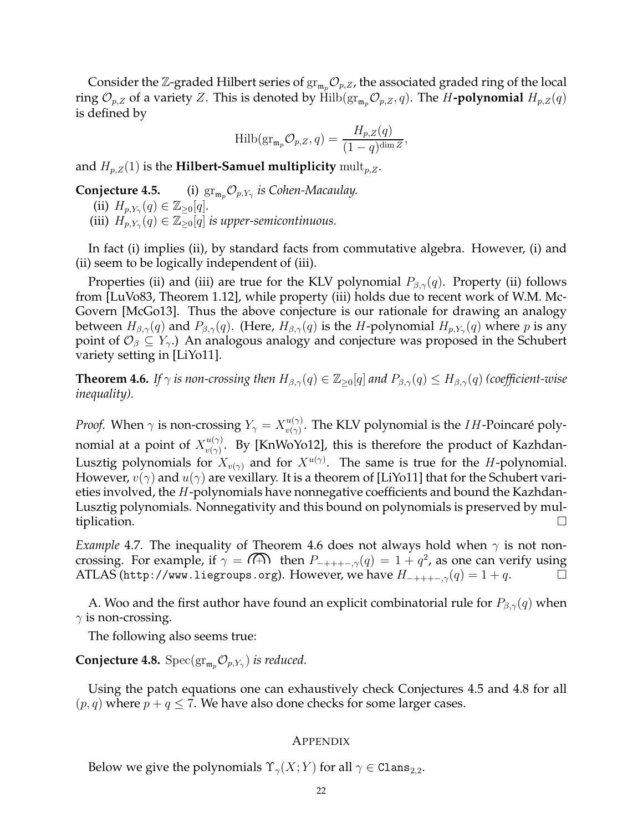Consider the Z-graded Hilbert series of  $\mathrm{gr}_{\mathfrak{m}_n}\mathcal{O}_{p,Z}$ , the associated graded ring of the local ring  $\mathcal{O}_{p,Z}$  of a variety Z. This is denoted by Hilb( $\mathrm{gr}_{\mathfrak{m}_p}\mathcal{O}_{p,Z}, q$ ). The H-**polynomial**  $H_{p,Z}(q)$ is defined by

$$
\mathrm{Hilb}(\mathrm{gr}_{\mathfrak{m}_p} \mathcal{O}_{p,Z}, q) = \frac{H_{p,Z}(q)}{(1-q)^{\dim Z}},
$$

and  $H_{p,Z}(1)$  is the **Hilbert-Samuel multiplicity** mult<sub>p,Z</sub>.

**Conjecture 4.5.** (i)  $\operatorname{gr}_{\mathfrak{m}_p} \mathcal{O}_{p,Y_\gamma}$  is Cohen-Macaulay. (ii)  $H_{p, Y_\gamma}(q) \in \mathbb{Z}_{\geq 0}[q].$ (iii)  $H_{p,Y_{\gamma}}(q) \in \mathbb{Z}_{\geq 0}[q]$  *is upper-semicontinuous.* 

In fact (i) implies (ii), by standard facts from commutative algebra. However, (i) and (ii) seem to be logically independent of (iii).

Properties (ii) and (iii) are true for the KLV polynomial  $P_{\beta,\gamma}(q)$ . Property (ii) follows from [LuVo83, Theorem 1.12], while property (iii) holds due to recent work of W.M. Mc-Govern [McGo13]. Thus the above conjecture is our rationale for drawing an analogy between  $H_{\beta,\gamma}(q)$  and  $P_{\beta,\gamma}(q)$ . (Here,  $H_{\beta,\gamma}(q)$  is the  $H$ -polynomial  $H_{p,Y_\gamma}(q)$  where  $p$  is any point of  $\mathcal{O}_{\beta} \subseteq Y_{\gamma}$ .) An analogous analogy and conjecture was proposed in the Schubert variety setting in [LiYo11].

**Theorem 4.6.** *If*  $\gamma$  *is non-crossing then*  $H_{\beta,\gamma}(q) \in \mathbb{Z}_{\geq 0}[q]$  *and*  $P_{\beta,\gamma}(q) \leq H_{\beta,\gamma}(q)$  *(coefficient-wise inequality).*

*Proof.* When  $\gamma$  is non-crossing  $Y_{\gamma} = X_{\nu(\gamma)}^{u(\gamma)}$  $\psi_{v(\gamma)}^{u(\gamma)}$ . The KLV polynomial is the *IH*-Poincaré polynomial at a point of  $X_{v(\gamma)}^{u(\gamma)}$  $\frac{u(\gamma)}{v(\gamma)}$ . By [KnWoYo12], this is therefore the product of Kazhdan-Lusztig polynomials for  $X_{v(\gamma)}$  and for  $X^{u(\gamma)}$ . The same is true for the H-polynomial. However,  $v(\gamma)$  and  $u(\gamma)$  are vexillary. It is a theorem of [LiYo11] that for the Schubert varieties involved, the H-polynomials have nonnegative coefficients and bound the Kazhdan-Lusztig polynomials. Nonnegativity and this bound on polynomials is preserved by multiplication.

*Example* 4.7. The inequality of Theorem 4.6 does not always hold when  $\gamma$  is not noncrossing. For example, if  $\gamma = \widehat{A}$  then  $P_{-+++,-,\gamma}(q) = 1 + q^2$ , as one can verify using ATLAS (http://www.liegroups.org). However, we have  $H_{-+++-,\gamma}(q) = 1 + q$ .

A. Woo and the first author have found an explicit combinatorial rule for  $P_{\beta,\gamma}(q)$  when  $\gamma$  is non-crossing.

The following also seems true:

**Conjecture 4.8.**  $Spec(\text{gr}_{\mathfrak{m}_p} \mathcal{O}_{p,Y_\gamma})$  *is reduced.* 

Using the patch equations one can exhaustively check Conjectures 4.5 and 4.8 for all  $(p, q)$  where  $p + q \le 7$ . We have also done checks for some larger cases.

### **APPENDIX**

Below we give the polynomials  $\Upsilon_{\gamma}(X; Y)$  for all  $\gamma \in \text{Clans}_{2,2}$ .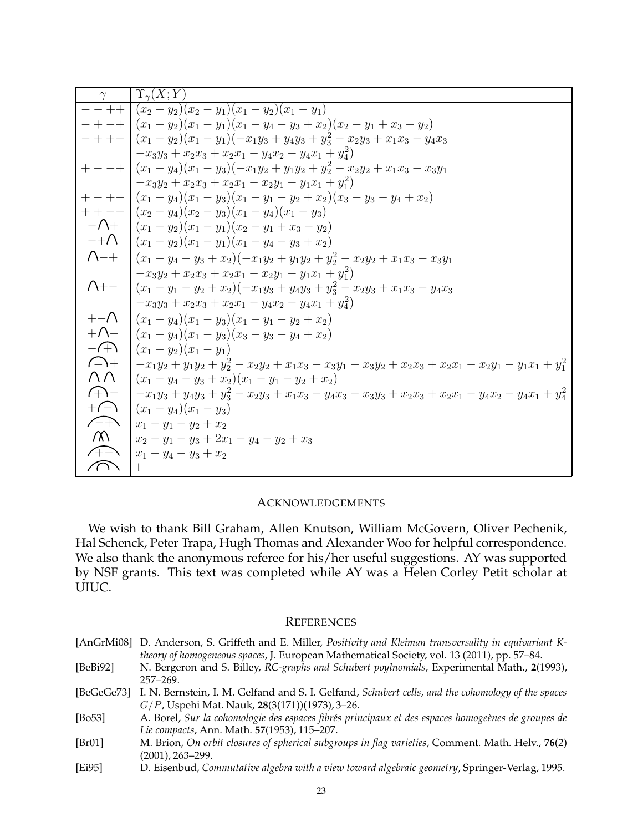|                     | $\Upsilon_{\gamma}(X;Y)$                                                                                   |
|---------------------|------------------------------------------------------------------------------------------------------------|
|                     | $- - + + (x_2 - y_2)(x_2 - y_1)(x_1 - y_2)(x_1 - y_1)$                                                     |
|                     | $- + - +$ $(x_1 - y_2)(x_1 - y_1)(x_1 - y_4 - y_3 + x_2)(x_2 - y_1 + x_3 - y_2)$                           |
|                     | $- + +  (x_1 - y_2)(x_1 - y_1)(-x_1y_3 + y_4y_3 + y_3^2 - x_2y_3 + x_1x_3 - y_4x_3)$                       |
|                     | $-x_3y_3 + x_2x_3 + x_2x_1 - y_4x_2 - y_4x_1 + y_4^2$                                                      |
|                     | $+ - - +$ $(x_1 - y_4)(x_1 - y_3)(-x_1y_2 + y_1y_2 + y_2^2 - x_2y_2 + x_1x_3 - x_3y_1)$                    |
|                     | $-x_3y_2+x_2x_3+x_2x_1-x_2y_1-y_1x_1+y_1^2$                                                                |
|                     | $+ - +  (x_1 - y_4)(x_1 - y_3)(x_1 - y_1 - y_2 + x_2)(x_3 - y_3 - y_4 + x_2)$                              |
|                     | $+ + - - (x_2 - y_4)(x_2 - y_3)(x_1 - y_4)(x_1 - y_3)$                                                     |
|                     | $-\bigwedge$ + $(x_1 - y_2)(x_1 - y_1)(x_2 - y_1 + x_3 - y_2)$                                             |
|                     | $-+\bigwedge (x_1-y_2)(x_1-y_1)(x_1-y_4-y_3+x_2)$                                                          |
|                     | $\bigcap_{+}\big  (x_1 - y_4 - y_3 + x_2)(-x_1y_2 + y_1y_2 + y_2^2 - x_2y_2 + x_1x_3 - x_3y_1)$            |
|                     | $-x_3y_2+x_2x_3+x_2x_1-x_2y_1-y_1x_1+y_1^2$                                                                |
| $\bigwedge_{+-}$    | $(x_1-y_1-y_2+x_2)(-x_1y_3+y_4y_3+y_3^2-x_2y_3+x_1x_3-y_4x_3$                                              |
|                     | $-x_3y_3+x_2x_3+x_2x_1-y_4x_2-y_4x_1+y_4^2$                                                                |
| $+-\wedge$          | $(x_1-y_4)(x_1-y_3)(x_1-y_1-y_2+x_2)$                                                                      |
|                     | $+\bigwedge$ $(x_1-y_4)(x_1-y_3)(x_3-y_3-y_4+x_2)$                                                         |
| $-\sqrt{+}\sqrt{2}$ | $(x_1-y_2)(x_1-y_1)$                                                                                       |
| $\bigcap_{+}$       | $-x_1y_2+y_1y_2+y_2^2-x_2y_2+x_1x_3-x_3y_1-x_3y_2+x_2x_3+x_2x_1-x_2y_1-y_1x_1+y_1^2$                       |
| $\wedge \wedge$     | $(x_1-y_4-y_3+x_2)(x_1-y_1-y_2+x_2)$                                                                       |
| $\bigoplus$         | $-x_1y_3 + y_4y_3 + y_3^2 - x_2y_3 + x_1x_3 - y_4x_3 - x_3y_3 + x_2x_3 + x_2x_1 - y_4x_2 - y_4x_1 + y_4^2$ |
| $+\bigcap$          | $(x_1-y_4)(x_1-y_3)$                                                                                       |
| $\sqrt{+}$          | $x_1 - y_1 - y_2 + x_2$                                                                                    |
| $\sqrt{2}$          | $x_2 - y_1 - y_3 + 2x_1 - y_4 - y_2 + x_3$                                                                 |
| $\curvearrowleft$   | $x_1 - y_4 - y_3 + x_2$                                                                                    |
| $\curvearrowright$  | 1                                                                                                          |

# ACKNOWLEDGEMENTS

We wish to thank Bill Graham, Allen Knutson, William McGovern, Oliver Pechenik, Hal Schenck, Peter Trapa, Hugh Thomas and Alexander Woo for helpful correspondence. We also thank the anonymous referee for his/her useful suggestions. AY was supported by NSF grants. This text was completed while AY was a Helen Corley Petit scholar at UIUC.

## **REFERENCES**

|              | [AnGrMi08] D. Anderson, S. Griffeth and E. Miller, Positivity and Kleiman transversality in equivariant K-<br>theory of homogeneous spaces, J. European Mathematical Society, vol. 13 (2011), pp. 57–84. |
|--------------|----------------------------------------------------------------------------------------------------------------------------------------------------------------------------------------------------------|
| [ $BeBi92$ ] | N. Bergeron and S. Billey, RC-graphs and Schubert poylnomials, Experimental Math., 2(1993),<br>$257 - 269.$                                                                                              |
| [BeGeGe73]   | I. N. Bernstein, I. M. Gelfand and S. I. Gelfand, Schubert cells, and the cohomology of the spaces<br>$G/P$ , Uspehi Mat. Nauk, 28(3(171))(1973), 3-26.                                                  |
| [ $Bo53$ ]   | A. Borel, Sur la cohomologie des espaces fibrés principaux et des espaces homogeènes de groupes de<br>Lie compacts, Ann. Math. 57(1953), 115-207.                                                        |
| [Br01]       | M. Brion, On orbit closures of spherical subgroups in flag varieties, Comment. Math. Helv., 76(2)<br>(2001), 263–299.                                                                                    |
| [Ei95]       | D. Eisenbud, Commutative algebra with a view toward algebraic geometry, Springer-Verlag, 1995.                                                                                                           |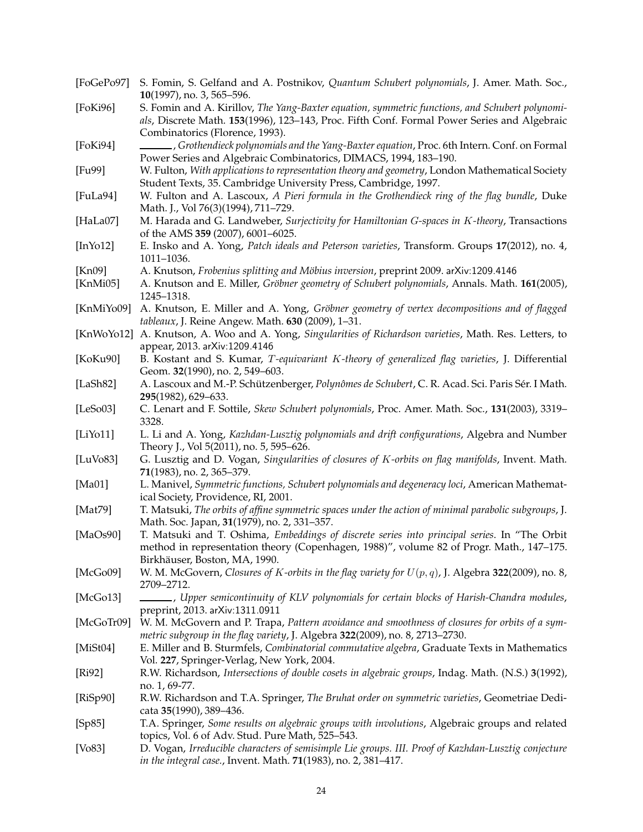| [FoGePo97]            | S. Fomin, S. Gelfand and A. Postnikov, Quantum Schubert polynomials, J. Amer. Math. Soc.,<br>10(1997), no. 3, 565-596.                                                                                                            |
|-----------------------|-----------------------------------------------------------------------------------------------------------------------------------------------------------------------------------------------------------------------------------|
| [FoKi96]              | S. Fomin and A. Kirillov, The Yang-Baxter equation, symmetric functions, and Schubert polynomi-<br>als, Discrete Math. 153(1996), 123-143, Proc. Fifth Conf. Formal Power Series and Algebraic<br>Combinatorics (Florence, 1993). |
| [ $FoKi94$ ]          | Grothendieck polynomials and the Yang-Baxter equation, Proc. 6th Intern. Conf. on Formal (<br>Power Series and Algebraic Combinatorics, DIMACS, 1994, 183-190.                                                                    |
| [Fu99]                | W. Fulton, With applications to representation theory and geometry, London Mathematical Society<br>Student Texts, 35. Cambridge University Press, Cambridge, 1997.                                                                |
| [FuLa94]              | W. Fulton and A. Lascoux, A Pieri formula in the Grothendieck ring of the flag bundle, Duke<br>Math. J., Vol 76(3)(1994), 711-729.                                                                                                |
| [HaLa07]              | M. Harada and G. Landweber, Surjectivity for Hamiltonian G-spaces in K-theory, Transactions<br>of the AMS 359 (2007), 6001-6025.                                                                                                  |
| [ $InYo12$ ]          | E. Insko and A. Yong, Patch ideals and Peterson varieties, Transform. Groups 17(2012), no. 4,<br>1011-1036.                                                                                                                       |
| [Kn09]                | A. Knutson, Frobenius splitting and Möbius inversion, preprint 2009. arXiv:1209.4146                                                                                                                                              |
| [ $KnMi05$ ]          | A. Knutson and E. Miller, Gröbner geometry of Schubert polynomials, Annals. Math. 161(2005),<br>1245-1318.                                                                                                                        |
| [KnMiYo09]            | A. Knutson, E. Miller and A. Yong, Gröbner geometry of vertex decompositions and of flagged<br>tableaux, J. Reine Angew. Math. 630 (2009), 1-31.                                                                                  |
| [KnWoYo12]            | A. Knutson, A. Woo and A. Yong, Singularities of Richardson varieties, Math. Res. Letters, to<br>appear, 2013. arXiv:1209.4146                                                                                                    |
| [KoKu90]              | B. Kostant and S. Kumar, T-equivariant K-theory of generalized flag varieties, J. Differential<br>Geom. 32(1990), no. 2, 549-603.                                                                                                 |
| [LaSh82]              | A. Lascoux and M.-P. Schützenberger, Polynômes de Schubert, C. R. Acad. Sci. Paris Sér. I Math.<br>295(1982), 629-633.                                                                                                            |
| [LeSo03]              | C. Lenart and F. Sottile, Skew Schubert polynomials, Proc. Amer. Math. Soc., 131(2003), 3319-<br>3328.                                                                                                                            |
| $[Li$ Yo $11]$        | L. Li and A. Yong, Kazhdan-Lusztig polynomials and drift configurations, Algebra and Number<br>Theory J., Vol 5(2011), no. 5, 595–626.                                                                                            |
| [LuV <sub>0</sub> 83] | G. Lusztig and D. Vogan, Singularities of closures of K-orbits on flag manifolds, Invent. Math.<br>71(1983), no. 2, 365-379.                                                                                                      |
| [Ma01]                | L. Manivel, Symmetric functions, Schubert polynomials and degeneracy loci, American Mathemat-<br>ical Society, Providence, RI, 2001.                                                                                              |
| [Mat79]               | T. Matsuki, The orbits of affine symmetric spaces under the action of minimal parabolic subgroups, J.<br>Math. Soc. Japan, 31(1979), no. 2, 331-357.                                                                              |
| [ $MaOs90$ ]          | T. Matsuki and T. Oshima, Embeddings of discrete series into principal series. In "The Orbit<br>method in representation theory (Copenhagen, 1988)", volume 82 of Progr. Math., 147–175.<br>Birkhäuser, Boston, MA, 1990.         |
| [McGo09]              | W. M. McGovern, Closures of K-orbits in the flag variety for $U(p,q)$ , J. Algebra 322(2009), no. 8,<br>2709-2712.                                                                                                                |
| [McGo13]              | , Upper semicontinuity of KLV polynomials for certain blocks of Harish-Chandra modules,<br>preprint, 2013. arXiv:1311.0911                                                                                                        |
| [McGoTr09]            | W. M. McGovern and P. Trapa, Pattern avoidance and smoothness of closures for orbits of a sym-<br>metric subgroup in the flag variety, J. Algebra 322(2009), no. 8, 2713-2730.                                                    |
| [ $MiSt04$ ]          | E. Miller and B. Sturmfels, Combinatorial commutative algebra, Graduate Texts in Mathematics<br>Vol. 227, Springer-Verlag, New York, 2004.                                                                                        |
| [Ri92]                | R.W. Richardson, Intersections of double cosets in algebraic groups, Indag. Math. (N.S.) 3(1992),<br>no. 1, 69-77.                                                                                                                |
| [RiSp90]              | R.W. Richardson and T.A. Springer, The Bruhat order on symmetric varieties, Geometriae Dedi-<br>cata 35(1990), 389-436.                                                                                                           |
| [Sp85]                | T.A. Springer, Some results on algebraic groups with involutions, Algebraic groups and related<br>topics, Vol. 6 of Adv. Stud. Pure Math, 525-543.                                                                                |
| [Vo83]                | D. Vogan, Irreducible characters of semisimple Lie groups. III. Proof of Kazhdan-Lusztig conjecture<br>in the integral case., Invent. Math. 71(1983), no. 2, 381-417.                                                             |